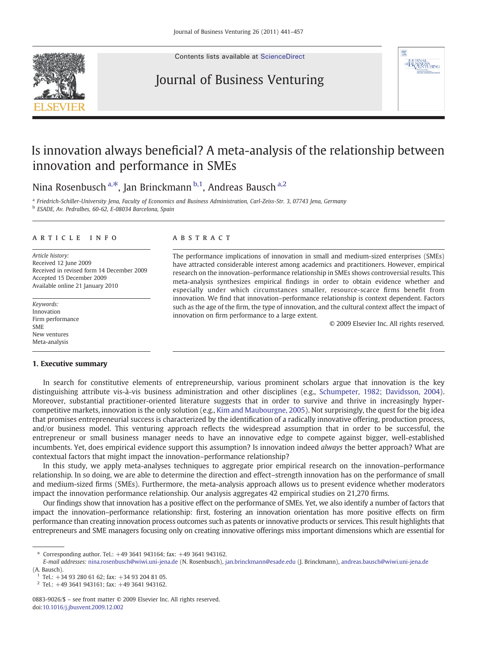

Contents lists available at [ScienceDirect](http://www.sciencedirect.com/science/journal/08839026)

# Journal of Business Venturing



# Is innovation always beneficial? A meta-analysis of the relationship between innovation and performance in SMEs

Nina Rosenbusch<sup>a,\*</sup>, Jan Brinckmann<sup>b,1</sup>, Andreas Bausch<sup>a,2</sup>

a Friedrich-Schiller-University Jena, Faculty of Economics and Business Administration, Carl-Zeiss-Str. 3, 07743 Jena, Germany <sup>b</sup> ESADE, Av. Pedralbes, 60-62, E-08034 Barcelona, Spain

#### article info abstract

Article history: Received 12 June 2009 Received in revised form 14 December 2009 Accepted 15 December 2009 Available online 21 January 2010

Keywords: Innovation Firm performance SME New ventures Meta-analysis

#### 1. Executive summary

The performance implications of innovation in small and medium-sized enterprises (SMEs) have attracted considerable interest among academics and practitioners. However, empirical research on the innovation–performance relationship in SMEs shows controversial results. This meta-analysis synthesizes empirical findings in order to obtain evidence whether and especially under which circumstances smaller, resource-scarce firms benefit from innovation. We find that innovation–performance relationship is context dependent. Factors such as the age of the firm, the type of innovation, and the cultural context affect the impact of innovation on firm performance to a large extent.

© 2009 Elsevier Inc. All rights reserved.

In search for constitutive elements of entrepreneurship, various prominent scholars argue that innovation is the key distinguishing attribute vis-à-vis business administration and other disciplines (e.g., [Schumpeter, 1982; Davidsson, 2004\)](#page-16-0). Moreover, substantial practitioner-oriented literature suggests that in order to survive and thrive in increasingly hypercompetitive markets, innovation is the only solution (e.g., [Kim and Maubourgne, 2005](#page-14-0)). Not surprisingly, the quest for the big idea that promises entrepreneurial success is characterized by the identification of a radically innovative offering, production process, and/or business model. This venturing approach reflects the widespread assumption that in order to be successful, the entrepreneur or small business manager needs to have an innovative edge to compete against bigger, well-established incumbents. Yet, does empirical evidence support this assumption? Is innovation indeed always the better approach? What are contextual factors that might impact the innovation–performance relationship?

In this study, we apply meta-analyses techniques to aggregate prior empirical research on the innovation–performance relationship. In so doing, we are able to determine the direction and effect–strength innovation has on the performance of small and medium-sized firms (SMEs). Furthermore, the meta-analysis approach allows us to present evidence whether moderators impact the innovation performance relationship. Our analysis aggregates 42 empirical studies on 21,270 firms.

Our findings show that innovation has a positive effect on the performance of SMEs. Yet, we also identify a number of factors that impact the innovation–performance relationship: first, fostering an innovation orientation has more positive effects on firm performance than creating innovation process outcomes such as patents or innovative products or services. This result highlights that entrepreneurs and SME managers focusing only on creating innovative offerings miss important dimensions which are essential for

<sup>⁎</sup> Corresponding author. Tel.: +49 3641 943164; fax: +49 3641 943162.

E-mail addresses: [nina.rosenbusch@wiwi.uni-jena.de](mailto:nina.rosenbusch@wiwi.uni-jena.de) (N. Rosenbusch), [jan.brinckmann@esade.edu](mailto:jan.brinckmann@esade.edu) (J. Brinckmann), [andreas.bausch@wiwi.uni-jena.de](mailto:andreas.bausch@wiwi.uni-jena.de) (A. Bausch).

<sup>&</sup>lt;sup>1</sup> Tel.:  $+34$  93 280 61 62; fax:  $+34$  93 204 81 05.

 $2$  Tel.: +49 3641 943161; fax: +49 3641 943162.

<sup>0883-9026/\$</sup> – see front matter © 2009 Elsevier Inc. All rights reserved. doi[:10.1016/j.jbusvent.2009.12.002](http://dx.doi.org/10.1016/j.jbusvent.2009.12.002)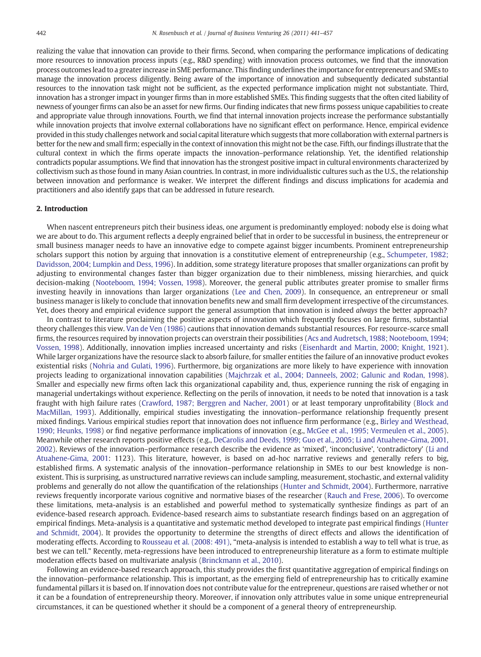realizing the value that innovation can provide to their firms. Second, when comparing the performance implications of dedicating more resources to innovation process inputs (e.g., R&D spending) with innovation process outcomes, we find that the innovation process outcomes lead to a greater increase in SME performance. This finding underlines the importance for entrepreneurs and SMEs to manage the innovation process diligently. Being aware of the importance of innovation and subsequently dedicated substantial resources to the innovation task might not be sufficient, as the expected performance implication might not substantiate. Third, innovation has a stronger impact in younger firms than in more established SMEs. This finding suggests that the often cited liability of newness of younger firms can also be an asset for new firms. Our finding indicates that new firms possess unique capabilities to create and appropriate value through innovations. Fourth, we find that internal innovation projects increase the performance substantially while innovation projects that involve external collaborations have no significant effect on performance. Hence, empirical evidence provided in this study challenges network and social capital literature which suggests that more collaboration with external partners is better for the new and small firm; especially in the context of innovation this might not be the case. Fifth, our findings illustrate that the cultural context in which the firms operate impacts the innovation–performance relationship. Yet, the identified relationship contradicts popular assumptions. We find that innovation has the strongest positive impact in cultural environments characterized by collectivism such as those found in many Asian countries. In contrast, in more individualistic cultures such as the U.S., the relationship between innovation and performance is weaker. We interpret the different findings and discuss implications for academia and practitioners and also identify gaps that can be addressed in future research.

#### 2. Introduction

When nascent entrepreneurs pitch their business ideas, one argument is predominantly employed: nobody else is doing what we are about to do. This argument reflects a deeply engrained belief that in order to be successful in business, the entrepreneur or small business manager needs to have an innovative edge to compete against bigger incumbents. Prominent entrepreneurship scholars support this notion by arguing that innovation is a constitutive element of entrepreneurship (e.g., [Schumpeter, 1982;](#page-16-0) [Davidsson, 2004; Lumpkin and Dess, 1996\)](#page-16-0). In addition, some strategy literature proposes that smaller organizations can profit by adjusting to environmental changes faster than bigger organization due to their nimbleness, missing hierarchies, and quick decision-making [\(Nooteboom, 1994; Vossen, 1998\)](#page-15-0). Moreover, the general public attributes greater promise to smaller firms investing heavily in innovations than larger organizations ([Lee and Chen, 2009\)](#page-15-0). In consequence, an entrepreneur or small business manager is likely to conclude that innovation benefits new and small firm development irrespective of the circumstances. Yet, does theory and empirical evidence support the general assumption that innovation is indeed always the better approach?

In contrast to literature proclaiming the positive aspects of innovation which frequently focuses on large firms, substantial theory challenges this view. [Van de Ven \(1986\)](#page-16-0) cautions that innovation demands substantial resources. For resource-scarce small firms, the resources required by innovation projects can overstrain their possibilities [\(Acs and Audretsch, 1988; Nooteboom, 1994;](#page-13-0) [Vossen, 1998\)](#page-13-0). Additionally, innovation implies increased uncertainty and risks ([Eisenhardt and Martin, 2000; Knight, 1921](#page-14-0)). While larger organizations have the resource slack to absorb failure, for smaller entities the failure of an innovative product evokes existential risks ([Nohria and Gulati, 1996](#page-15-0)). Furthermore, big organizations are more likely to have experience with innovation projects leading to organizational innovation capabilities [\(Majchrzak et al., 2004; Danneels, 2002; Galunic and Rodan, 1998](#page-15-0)). Smaller and especially new firms often lack this organizational capability and, thus, experience running the risk of engaging in managerial undertakings without experience. Reflecting on the perils of innovation, it needs to be noted that innovation is a task fraught with high failure rates [\(Crawford, 1987; Berggren and Nacher, 2001](#page-13-0)) or at least temporary unprofitability [\(Block and](#page-13-0) [MacMillan, 1993](#page-13-0)). Additionally, empirical studies investigating the innovation–performance relationship frequently present mixed findings. Various empirical studies report that innovation does not influence firm performance (e.g., [Birley and Westhead,](#page-13-0) [1990; Heunks, 1998](#page-13-0)) or find negative performance implications of innovation (e.g., [McGee et al., 1995; Vermeulen et al., 2005](#page-15-0)). Meanwhile other research reports positive effects (e.g., [DeCarolis and Deeds, 1999; Guo et al., 2005; Li and Atuahene-Gima, 2001,](#page-13-0) [2002](#page-13-0)). Reviews of the innovation–performance research describe the evidence as 'mixed', 'inconclusive', 'contradictory' [\(Li and](#page-15-0) [Atuahene-Gima, 2001:](#page-15-0) 1123). This literature, however, is based on ad-hoc narrative reviews and generally refers to big, established firms. A systematic analysis of the innovation–performance relationship in SMEs to our best knowledge is nonexistent. This is surprising, as unstructured narrative reviews can include sampling, measurement, stochastic, and external validity problems and generally do not allow the quantification of the relationships ([Hunter and Schmidt, 2004\)](#page-14-0). Furthermore, narrative reviews frequently incorporate various cognitive and normative biases of the researcher [\(Rauch and Frese, 2006\)](#page-15-0). To overcome these limitations, meta-analysis is an established and powerful method to systematically synthesize findings as part of an evidence-based research approach. Evidence-based research aims to substantiate research findings based on an aggregation of empirical findings. Meta-analysis is a quantitative and systematic method developed to integrate past empirical findings ([Hunter](#page-14-0) [and Schmidt, 2004](#page-14-0)). It provides the opportunity to determine the strengths of direct effects and allows the identification of moderating effects. According to [Rousseau et al. \(2008: 491\)](#page-15-0), "meta-analysis is intended to establish a way to tell what is true, as best we can tell." Recently, meta-regressions have been introduced to entrepreneurship literature as a form to estimate multiple moderation effects based on multivariate analysis ([Brinckmann et al., 2010](#page-13-0)).

Following an evidence-based research approach, this study provides the first quantitative aggregation of empirical findings on the innovation–performance relationship. This is important, as the emerging field of entrepreneurship has to critically examine fundamental pillars it is based on. If innovation does not contribute value for the entrepreneur, questions are raised whether or not it can be a foundation of entrepreneurship theory. Moreover, if innovation only attributes value in some unique entrepreneurial circumstances, it can be questioned whether it should be a component of a general theory of entrepreneurship.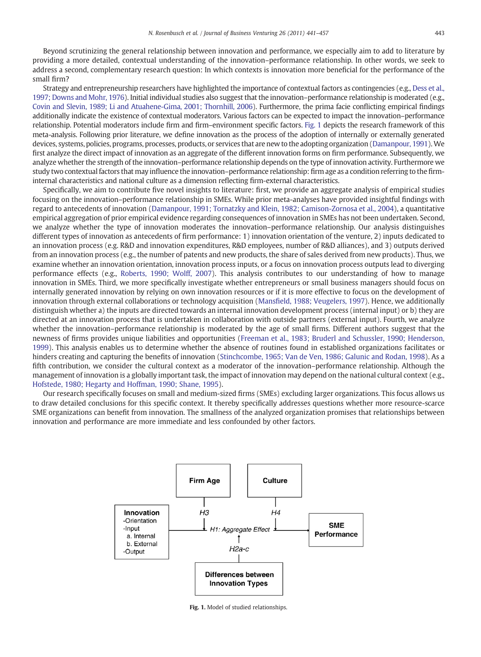Beyond scrutinizing the general relationship between innovation and performance, we especially aim to add to literature by providing a more detailed, contextual understanding of the innovation–performance relationship. In other words, we seek to address a second, complementary research question: In which contexts is innovation more beneficial for the performance of the small firm?

Strategy and entrepreneurship researchers have highlighted the importance of contextual factors as contingencies (e.g., [Dess et al.,](#page-14-0) [1997; Downs and Mohr, 1976\)](#page-14-0). Initial individual studies also suggest that the innovation–performance relationship is moderated (e.g., [Covin and Slevin, 1989; Li and Atuahene-Gima, 2001; Thornhill, 2006\)](#page-13-0). Furthermore, the prima facie conflicting empirical findings additionally indicate the existence of contextual moderators. Various factors can be expected to impact the innovation–performance relationship. Potential moderators include firm and firm–environment specific factors. Fig. 1 depicts the research framework of this meta-analysis. Following prior literature, we define innovation as the process of the adoption of internally or externally generated devices, systems, policies, programs, processes, products, or services that are new to the adopting organization ([Damanpour, 1991](#page-13-0)).We first analyze the direct impact of innovation as an aggregate of the different innovation forms on firm performance. Subsequently, we analyze whether the strength of the innovation–performance relationship depends on the type of innovation activity. Furthermore we study two contextual factors that may influence the innovation–performance relationship: firm age as a condition referring to the firminternal characteristics and national culture as a dimension reflecting firm-external characteristics.

Specifically, we aim to contribute five novel insights to literature: first, we provide an aggregate analysis of empirical studies focusing on the innovation–performance relationship in SMEs. While prior meta-analyses have provided insightful findings with regard to antecedents of innovation ([Damanpour, 1991; Tornatzky and Klein, 1982; Camison-Zornosa et al., 2004\)](#page-13-0), a quantitative empirical aggregation of prior empirical evidence regarding consequences of innovation in SMEs has not been undertaken. Second, we analyze whether the type of innovation moderates the innovation–performance relationship. Our analysis distinguishes different types of innovation as antecedents of firm performance: 1) innovation orientation of the venture, 2) inputs dedicated to an innovation process (e.g. R&D and innovation expenditures, R&D employees, number of R&D alliances), and 3) outputs derived from an innovation process (e.g., the number of patents and new products, the share of sales derived from new products). Thus, we examine whether an innovation orientation, innovation process inputs, or a focus on innovation process outputs lead to diverging performance effects (e.g., [Roberts, 1990; Wolff, 2007\)](#page-15-0). This analysis contributes to our understanding of how to manage innovation in SMEs. Third, we more specifically investigate whether entrepreneurs or small business managers should focus on internally generated innovation by relying on own innovation resources or if it is more effective to focus on the development of innovation through external collaborations or technology acquisition (Mansfi[eld, 1988; Veugelers, 1997\)](#page-15-0). Hence, we additionally distinguish whether a) the inputs are directed towards an internal innovation development process (internal input) or b) they are directed at an innovation process that is undertaken in collaboration with outside partners (external input). Fourth, we analyze whether the innovation–performance relationship is moderated by the age of small firms. Different authors suggest that the newness of firms provides unique liabilities and opportunities ([Freeman et al., 1983; Bruderl and Schussler, 1990; Henderson,](#page-14-0) [1999](#page-14-0)). This analysis enables us to determine whether the absence of routines found in established organizations facilitates or hinders creating and capturing the benefits of innovation [\(Stinchcombe, 1965; Van de Ven, 1986; Galunic and Rodan, 1998\)](#page-16-0). As a fifth contribution, we consider the cultural context as a moderator of the innovation–performance relationship. Although the management of innovation is a globally important task, the impact of innovation may depend on the national cultural context (e.g., [Hofstede, 1980; Hegarty and Hoffman, 1990; Shane, 1995](#page-14-0)).

Our research specifically focuses on small and medium-sized firms (SMEs) excluding larger organizations. This focus allows us to draw detailed conclusions for this specific context. It thereby specifically addresses questions whether more resource-scarce SME organizations can benefit from innovation. The smallness of the analyzed organization promises that relationships between innovation and performance are more immediate and less confounded by other factors.



Fig. 1. Model of studied relationships.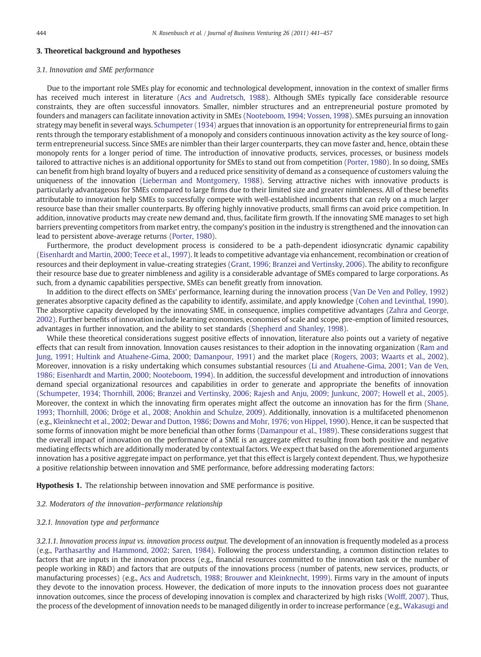#### 3. Theoretical background and hypotheses

#### 3.1. Innovation and SME performance

Due to the important role SMEs play for economic and technological development, innovation in the context of smaller firms has received much interest in literature ([Acs and Audretsch, 1988](#page-13-0)). Although SMEs typically face considerable resource constraints, they are often successful innovators. Smaller, nimbler structures and an entrepreneurial posture promoted by founders and managers can facilitate innovation activity in SMEs ([Nooteboom, 1994; Vossen, 1998](#page-15-0)). SMEs pursuing an innovation strategy may benefit in several ways. [Schumpeter \(1934\)](#page-16-0) argues that innovation is an opportunity for entrepreneurial firms to gain rents through the temporary establishment of a monopoly and considers continuous innovation activity as the key source of longterm entrepreneurial success. Since SMEs are nimbler than their larger counterparts, they can move faster and, hence, obtain these monopoly rents for a longer period of time. The introduction of innovative products, services, processes, or business models tailored to attractive niches is an additional opportunity for SMEs to stand out from competition ([Porter, 1980](#page-15-0)). In so doing, SMEs can benefit from high brand loyalty of buyers and a reduced price sensitivity of demand as a consequence of customers valuing the uniqueness of the innovation [\(Lieberman and Montgomery, 1988\)](#page-15-0). Serving attractive niches with innovative products is particularly advantageous for SMEs compared to large firms due to their limited size and greater nimbleness. All of these benefits attributable to innovation help SMEs to successfully compete with well-established incumbents that can rely on a much larger resource base than their smaller counterparts. By offering highly innovative products, small firms can avoid price competition. In addition, innovative products may create new demand and, thus, facilitate firm growth. If the innovating SME manages to set high barriers preventing competitors from market entry, the company's position in the industry is strengthened and the innovation can lead to persistent above-average returns ([Porter, 1980\)](#page-15-0).

Furthermore, the product development process is considered to be a path-dependent idiosyncratic dynamic capability ([Eisenhardt and Martin, 2000; Teece et al., 1997](#page-14-0)). It leads to competitive advantage via enhancement, recombination or creation of resources and their deployment in value-creating strategies [\(Grant, 1996; Branzei and Vertinsky, 2006\)](#page-14-0). The ability to reconfigure their resource base due to greater nimbleness and agility is a considerable advantage of SMEs compared to large corporations. As such, from a dynamic capabilities perspective, SMEs can benefit greatly from innovation.

In addition to the direct effects on SMEs' performance, learning during the innovation process ([Van De Ven and Polley, 1992\)](#page-16-0) generates absorptive capacity defined as the capability to identify, assimilate, and apply knowledge ([Cohen and Levinthal, 1990](#page-13-0)). The absorptive capacity developed by the innovating SME, in consequence, implies competitive advantages ([Zahra and George,](#page-16-0) [2002](#page-16-0)). Further benefits of innovation include learning economies, economies of scale and scope, pre-emption of limited resources, advantages in further innovation, and the ability to set standards ([Shepherd and Shanley, 1998\)](#page-16-0).

While these theoretical considerations suggest positive effects of innovation, literature also points out a variety of negative effects that can result from innovation. Innovation causes resistances to their adoption in the innovating organization [\(Ram and](#page-15-0) [Jung, 1991; Hultink and Atuahene-Gima, 2000; Damanpour, 1991\)](#page-15-0) and the market place [\(Rogers, 2003; Waarts et al., 2002](#page-15-0)). Moreover, innovation is a risky undertaking which consumes substantial resources ([Li and Atuahene-Gima, 2001; Van de Ven,](#page-15-0) [1986; Eisenhardt and Martin, 2000; Nooteboom, 1994\)](#page-15-0). In addition, the successful development and introduction of innovations demand special organizational resources and capabilities in order to generate and appropriate the benefits of innovation ([Schumpeter, 1934; Thornhill, 2006; Branzei and Vertinsky, 2006; Rajesh and Anju, 2009; Junkunc, 2007; Howell et al., 2005](#page-16-0)). Moreover, the context in which the innovating firm operates might affect the outcome an innovation has for the firm ([Shane,](#page-16-0) [1993; Thornhill, 2006; Dröge et al., 2008; Anokhin and Schulze, 2009\)](#page-16-0). Additionally, innovation is a multifaceted phenomenon (e.g., [Kleinknecht et al., 2002; Dewar and Dutton, 1986; Downs and Mohr, 1976; von Hippel, 1990](#page-14-0)). Hence, it can be suspected that some forms of innovation might be more beneficial than other forms [\(Damanpour et al., 1989\)](#page-13-0). These considerations suggest that the overall impact of innovation on the performance of a SME is an aggregate effect resulting from both positive and negative mediating effects which are additionally moderated by contextual factors. We expect that based on the aforementioned arguments innovation has a positive aggregate impact on performance, yet that this effect is largely context dependent. Thus, we hypothesize a positive relationship between innovation and SME performance, before addressing moderating factors:

Hypothesis 1. The relationship between innovation and SME performance is positive.

#### 3.2. Moderators of the innovation–performance relationship

### 3.2.1. Innovation type and performance

3.2.1.1. Innovation process input vs. innovation process output. The development of an innovation is frequently modeled as a process (e.g., [Parthasarthy and Hammond, 2002; Saren, 1984\)](#page-15-0). Following the process understanding, a common distinction relates to factors that are inputs in the innovation process (e.g., financial resources committed to the innovation task or the number of people working in R&D) and factors that are outputs of the innovations process (number of patents, new services, products, or manufacturing processes) (e.g., [Acs and Audretsch, 1988; Brouwer and Kleinknecht, 1999\)](#page-13-0). Firms vary in the amount of inputs they devote to the innovation process. However, the dedication of more inputs to the innovation process does not guarantee innovation outcomes, since the process of developing innovation is complex and characterized by high risks [\(Wolff, 2007\)](#page-16-0). Thus, the process of the development of innovation needs to be managed diligently in order to increase performance (e.g., [Wakasugi and](#page-16-0)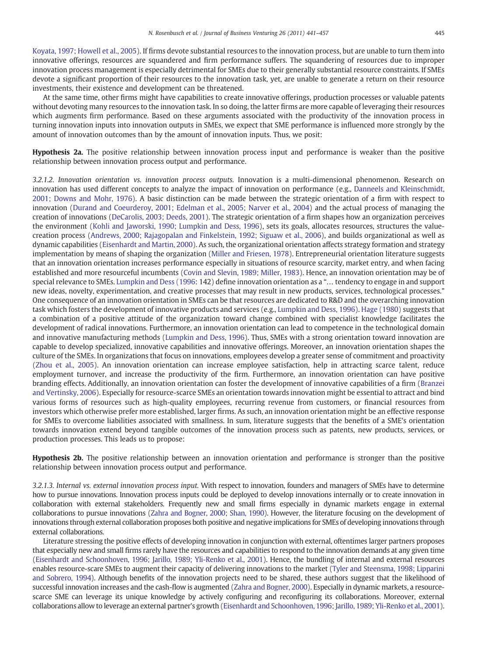[Koyata, 1997; Howell et al., 2005\)](#page-16-0). If firms devote substantial resources to the innovation process, but are unable to turn them into innovative offerings, resources are squandered and firm performance suffers. The squandering of resources due to improper innovation process management is especially detrimental for SMEs due to their generally substantial resource constraints. If SMEs devote a significant proportion of their resources to the innovation task, yet, are unable to generate a return on their resource investments, their existence and development can be threatened.

At the same time, other firms might have capabilities to create innovative offerings, production processes or valuable patents without devoting many resources to the innovation task. In so doing, the latter firms are more capable of leveraging their resources which augments firm performance. Based on these arguments associated with the productivity of the innovation process in turning innovation inputs into innovation outputs in SMEs, we expect that SME performance is influenced more strongly by the amount of innovation outcomes than by the amount of innovation inputs. Thus, we posit:

Hypothesis 2a. The positive relationship between innovation process input and performance is weaker than the positive relationship between innovation process output and performance.

3.2.1.2. Innovation orientation vs. innovation process outputs. Innovation is a multi-dimensional phenomenon. Research on innovation has used different concepts to analyze the impact of innovation on performance (e.g., [Danneels and Kleinschmidt,](#page-13-0) [2001; Downs and Mohr, 1976\)](#page-13-0). A basic distinction can be made between the strategic orientation of a firm with respect to innovation ([Durand and Coeurderoy, 2001; Edelman et al., 2005; Narver et al., 2004](#page-14-0)) and the actual process of managing the creation of innovations ([DeCarolis, 2003; Deeds, 2001](#page-13-0)). The strategic orientation of a firm shapes how an organization perceives the environment ([Kohli and Jaworski, 1990; Lumpkin and Dess, 1996](#page-15-0)), sets its goals, allocates resources, structures the valuecreation process ([Andrews, 2000; Rajagopalan and Finkelstein, 1992; Siguaw et al., 2006](#page-13-0)), and builds organizational as well as dynamic capabilities ([Eisenhardt and Martin, 2000](#page-14-0)). As such, the organizational orientation affects strategy formation and strategy implementation by means of shaping the organization [\(Miller and Friesen, 1978](#page-15-0)). Entrepreneurial orientation literature suggests that an innovation orientation increases performance especially in situations of resource scarcity, market entry, and when facing established and more resourceful incumbents ([Covin and Slevin, 1989; Miller, 1983\)](#page-13-0). Hence, an innovation orientation may be of special relevance to SMEs. [Lumpkin and Dess \(1996:](#page-15-0) 142) define innovation orientation as a "… tendency to engage in and support new ideas, novelty, experimentation, and creative processes that may result in new products, services, technological processes." One consequence of an innovation orientation in SMEs can be that resources are dedicated to R&D and the overarching innovation task which fosters the development of innovative products and services (e.g., [Lumpkin and Dess, 1996\)](#page-15-0). [Hage \(1980\)](#page-14-0) suggests that a combination of a positive attitude of the organization toward change combined with specialist knowledge facilitates the development of radical innovations. Furthermore, an innovation orientation can lead to competence in the technological domain and innovative manufacturing methods [\(Lumpkin and Dess, 1996\)](#page-15-0). Thus, SMEs with a strong orientation toward innovation are capable to develop specialized, innovative capabilities and innovative offerings. Moreover, an innovation orientation shapes the culture of the SMEs. In organizations that focus on innovations, employees develop a greater sense of commitment and proactivity [\(Zhou et al., 2005](#page-16-0)). An innovation orientation can increase employee satisfaction, help in attracting scarce talent, reduce employment turnover, and increase the productivity of the firm. Furthermore, an innovation orientation can have positive branding effects. Additionally, an innovation orientation can foster the development of innovative capabilities of a firm ([Branzei](#page-13-0) [and Vertinsky, 2006\)](#page-13-0). Especially for resource-scarce SMEs an orientation towards innovation might be essential to attract and bind various forms of resources such as high-quality employees, recurring revenue from customers, or financial resources from investors which otherwise prefer more established, larger firms. As such, an innovation orientation might be an effective response for SMEs to overcome liabilities associated with smallness. In sum, literature suggests that the benefits of a SME's orientation towards innovation extend beyond tangible outcomes of the innovation process such as patents, new products, services, or production processes. This leads us to propose:

Hypothesis 2b. The positive relationship between an innovation orientation and performance is stronger than the positive relationship between innovation process output and performance.

3.2.1.3. Internal vs. external innovation process input. With respect to innovation, founders and managers of SMEs have to determine how to pursue innovations. Innovation process inputs could be deployed to develop innovations internally or to create innovation in collaboration with external stakeholders. Frequently new and small firms especially in dynamic markets engage in external collaborations to pursue innovations ([Zahra and Bogner, 2000; Shan, 1990\)](#page-16-0). However, the literature focusing on the development of innovations through external collaboration proposes both positive and negative implications for SMEs of developing innovations through external collaborations.

Literature stressing the positive effects of developing innovation in conjunction with external, oftentimes larger partners proposes that especially new and small firms rarely have the resources and capabilities to respond to the innovation demands at any given time [\(Eisenhardt and Schoonhoven, 1996; Jarillo, 1989; Yli-Renko et al., 2001\)](#page-14-0). Hence, the bundling of internal and external resources enables resource-scare SMEs to augment their capacity of delivering innovations to the market [\(Tyler and Steensma, 1998; Lipparini](#page-16-0) [and Sobrero, 1994](#page-16-0)). Although benefits of the innovation projects need to be shared, these authors suggest that the likelihood of successful innovation increases and the cash-flow is augmented ([Zahra and Bogner, 2000\)](#page-16-0). Especially in dynamic markets, a resourcescarce SME can leverage its unique knowledge by actively configuring and reconfiguring its collaborations. Moreover, external collaborations allow to leverage an external partner's growth ([Eisenhardt and Schoonhoven, 1996; Jarillo, 1989; Yli-Renko et al., 2001\)](#page-14-0).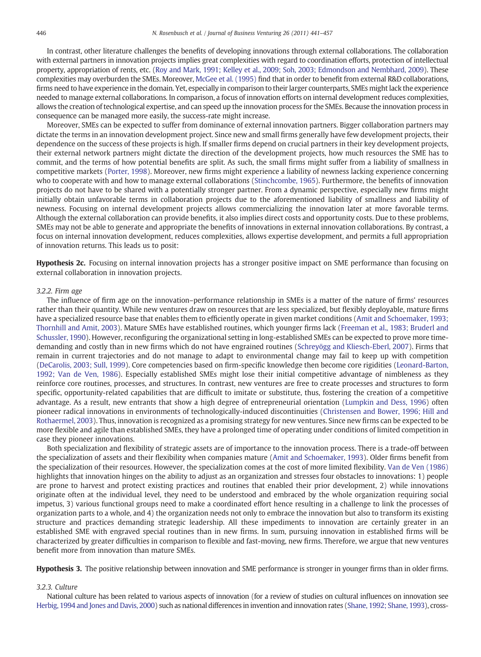In contrast, other literature challenges the benefits of developing innovations through external collaborations. The collaboration with external partners in innovation projects implies great complexities with regard to coordination efforts, protection of intellectual property, appropriation of rents, etc. [\(Roy and Mark, 1991; Kelley et al., 2009; Soh, 2003; Edmondson and Nembhard, 2009\)](#page-16-0). These complexities may overburden the SMEs. Moreover, [McGee et al. \(1995\)](#page-15-0) find that in order to benefit from external R&D collaborations, firms need to have experience in the domain. Yet, especially in comparison to their larger counterparts, SMEs might lack the experience needed to manage external collaborations. In comparison, a focus of innovation efforts on internal development reduces complexities, allows the creation of technological expertise, and can speed up the innovation process for the SMEs. Because the innovation process in consequence can be managed more easily, the success-rate might increase.

Moreover, SMEs can be expected to suffer from dominance of external innovation partners. Bigger collaboration partners may dictate the terms in an innovation development project. Since new and small firms generally have few development projects, their dependence on the success of these projects is high. If smaller firms depend on crucial partners in their key development projects, their external network partners might dictate the direction of the development projects, how much resources the SME has to commit, and the terms of how potential benefits are split. As such, the small firms might suffer from a liability of smallness in competitive markets ([Porter, 1998\)](#page-15-0). Moreover, new firms might experience a liability of newness lacking experience concerning who to cooperate with and how to manage external collaborations [\(Stinchcombe, 1965\)](#page-16-0). Furthermore, the benefits of innovation projects do not have to be shared with a potentially stronger partner. From a dynamic perspective, especially new firms might initially obtain unfavorable terms in collaboration projects due to the aforementioned liability of smallness and liability of newness. Focusing on internal development projects allows commercializing the innovation later at more favorable terms. Although the external collaboration can provide benefits, it also implies direct costs and opportunity costs. Due to these problems, SMEs may not be able to generate and appropriate the benefits of innovations in external innovation collaborations. By contrast, a focus on internal innovation development, reduces complexities, allows expertise development, and permits a full appropriation of innovation returns. This leads us to posit:

Hypothesis 2c. Focusing on internal innovation projects has a stronger positive impact on SME performance than focusing on external collaboration in innovation projects.

#### 3.2.2. Firm age

The influence of firm age on the innovation–performance relationship in SMEs is a matter of the nature of firms' resources rather than their quantity. While new ventures draw on resources that are less specialized, but flexibly deployable, mature firms have a specialized resource base that enables them to efficiently operate in given market conditions ([Amit and Schoemaker, 1993;](#page-13-0) [Thornhill and Amit, 2003\)](#page-13-0). Mature SMEs have established routines, which younger firms lack ([Freeman et al., 1983; Bruderl and](#page-14-0) [Schussler, 1990\)](#page-14-0). However, reconfiguring the organizational setting in long-established SMEs can be expected to prove more timedemanding and costly than in new firms which do not have engrained routines ([Schreyögg and Kliesch-Eberl, 2007\)](#page-16-0). Firms that remain in current trajectories and do not manage to adapt to environmental change may fail to keep up with competition ([DeCarolis, 2003; Sull, 1999\)](#page-13-0). Core competencies based on firm-specific knowledge then become core rigidities ([Leonard-Barton,](#page-15-0) [1992; Van de Ven, 1986](#page-15-0)). Especially established SMEs might lose their initial competitive advantage of nimbleness as they reinforce core routines, processes, and structures. In contrast, new ventures are free to create processes and structures to form specific, opportunity-related capabilities that are difficult to imitate or substitute, thus, fostering the creation of a competitive advantage. As a result, new entrants that show a high degree of entrepreneurial orientation ([Lumpkin and Dess, 1996](#page-15-0)) often pioneer radical innovations in environments of technologically-induced discontinuities ([Christensen and Bower, 1996; Hill and](#page-13-0) [Rothaermel, 2003](#page-13-0)). Thus, innovation is recognized as a promising strategy for new ventures. Since new firms can be expected to be more flexible and agile than established SMEs, they have a prolonged time of operating under conditions of limited competition in case they pioneer innovations.

Both specialization and flexibility of strategic assets are of importance to the innovation process. There is a trade-off between the specialization of assets and their flexibility when companies mature ([Amit and Schoemaker, 1993](#page-13-0)). Older firms benefit from the specialization of their resources. However, the specialization comes at the cost of more limited flexibility. [Van de Ven \(1986\)](#page-16-0) highlights that innovation hinges on the ability to adjust as an organization and stresses four obstacles to innovations: 1) people are prone to harvest and protect existing practices and routines that enabled their prior development, 2) while innovations originate often at the individual level, they need to be understood and embraced by the whole organization requiring social impetus, 3) various functional groups need to make a coordinated effort hence resulting in a challenge to link the processes of organization parts to a whole, and 4) the organization needs not only to embrace the innovation but also to transform its existing structure and practices demanding strategic leadership. All these impediments to innovation are certainly greater in an established SME with engraved special routines than in new firms. In sum, pursuing innovation in established firms will be characterized by greater difficulties in comparison to flexible and fast-moving, new firms. Therefore, we argue that new ventures benefit more from innovation than mature SMEs.

Hypothesis 3. The positive relationship between innovation and SME performance is stronger in younger firms than in older firms.

#### 3.2.3. Culture

National culture has been related to various aspects of innovation (for a review of studies on cultural influences on innovation see [Herbig, 1994 and Jones and Davis, 2000](#page-14-0)) such as national differences in invention and innovation rates [\(Shane, 1992; Shane, 1993](#page-16-0)), cross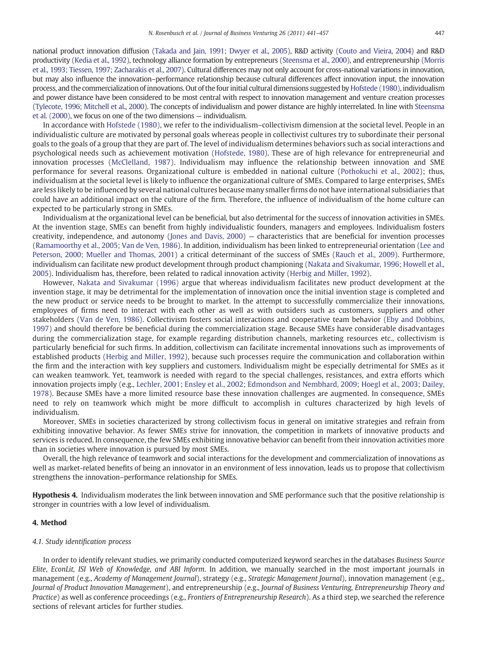national product innovation diffusion [\(Takada and Jain, 1991; Dwyer et al., 2005](#page-16-0)), R&D activity [\(Couto and Vieira, 2004](#page-13-0)) and R&D productivity [\(Kedia et al., 1992](#page-14-0)), technology alliance formation by entrepreneurs ([Steensma et al., 2000](#page-16-0)), and entrepreneurship [\(Morris](#page-15-0) [et al., 1993; Tiessen, 1997; Zacharakis et al., 2007](#page-15-0)). Cultural differences may not only account for cross-national variations in innovation, but may also influence the innovation–performance relationship because cultural differences affect innovation input, the innovation process, and the commercialization of innovations. Out of the four initial cultural dimensions suggested by [Hofstede \(1980\),](#page-14-0) individualism and power distance have been considered to be most central with respect to innovation management and venture creation processes [\(Tylecote, 1996; Mitchell et al., 2000](#page-16-0)). The concepts of individualism and power distance are highly interrelated. In line with [Steensma](#page-16-0) [et al. \(2000\)](#page-16-0), we focus on one of the two dimensions — individualism.

In accordance with [Hofstede \(1980\)](#page-14-0), we refer to the individualism–collectivism dimension at the societal level. People in an individualistic culture are motivated by personal goals whereas people in collectivist cultures try to subordinate their personal goals to the goals of a group that they are part of. The level of individualism determines behaviors such as social interactions and psychological needs such as achievement motivation ([Hofstede, 1980](#page-14-0)). These are of high relevance for entrepreneurial and innovation processes [\(McClelland, 1987](#page-15-0)). Individualism may influence the relationship between innovation and SME performance for several reasons. Organizational culture is embedded in national culture ([Pothokuchi et al., 2002\)](#page-15-0); thus, individualism at the societal level is likely to influence the organizational culture of SMEs. Compared to large enterprises, SMEs are less likely to be influenced by several national cultures because many smaller firms do not have international subsidiaries that could have an additional impact on the culture of the firm. Therefore, the influence of individualism of the home culture can expected to be particularly strong in SMEs.

Individualism at the organizational level can be beneficial, but also detrimental for the success of innovation activities in SMEs. At the invention stage, SMEs can benefit from highly individualistic founders, managers and employees. Individualism fosters creativity, independence, and autonomy ([Jones and Davis, 2000\)](#page-14-0) — characteristics that are beneficial for invention processes [\(Ramamoorthy et al., 2005; Van de Ven, 1986\)](#page-15-0). In addition, individualism has been linked to entrepreneurial orientation [\(Lee and](#page-15-0) [Peterson, 2000; Mueller and Thomas, 2001\)](#page-15-0) a critical determinant of the success of SMEs ([Rauch et al., 2009\)](#page-15-0). Furthermore, individualism can facilitate new product development through product championing ([Nakata and Sivakumar, 1996; Howell et al.,](#page-15-0) [2005](#page-15-0)). Individualism has, therefore, been related to radical innovation activity [\(Herbig and Miller, 1992](#page-14-0)).

However, [Nakata and Sivakumar \(1996\)](#page-15-0) argue that whereas individualism facilitates new product development at the invention stage, it may be detrimental for the implementation of innovation once the initial invention stage is completed and the new product or service needs to be brought to market. In the attempt to successfully commercialize their innovations, employees of firms need to interact with each other as well as with outsiders such as customers, suppliers and other stakeholders ([Van de Ven, 1986\)](#page-16-0). Collectivism fosters social interactions and cooperative team behavior [\(Eby and Dobbins,](#page-14-0) [1997](#page-14-0)) and should therefore be beneficial during the commercialization stage. Because SMEs have considerable disadvantages during the commercialization stage, for example regarding distribution channels, marketing resources etc., collectivism is particularly beneficial for such firms. In addition, collectivism can facilitate incremental innovations such as improvements of established products ([Herbig and Miller, 1992\)](#page-14-0), because such processes require the communication and collaboration within the firm and the interaction with key suppliers and customers. Individualism might be especially detrimental for SMEs as it can weaken teamwork. Yet, teamwork is needed with regard to the special challenges, resistances, and extra efforts which innovation projects imply (e.g., [Lechler, 2001; Ensley et al., 2002; Edmondson and Nembhard, 2009; Hoegl et al., 2003; Dailey,](#page-15-0) [1978](#page-15-0)). Because SMEs have a more limited resource base these innovation challenges are augmented. In consequence, SMEs need to rely on teamwork which might be more difficult to accomplish in cultures characterized by high levels of individualism.

Moreover, SMEs in societies characterized by strong collectivism focus in general on imitative strategies and refrain from exhibiting innovative behavior. As fewer SMEs strive for innovation, the competition in markets of innovative products and services is reduced. In consequence, the few SMEs exhibiting innovative behavior can benefit from their innovation activities more than in societies where innovation is pursued by most SMEs.

Overall, the high relevance of teamwork and social interactions for the development and commercialization of innovations as well as market-related benefits of being an innovator in an environment of less innovation, leads us to propose that collectivism strengthens the innovation–performance relationship for SMEs.

Hypothesis 4. Individualism moderates the link between innovation and SME performance such that the positive relationship is stronger in countries with a low level of individualism.

#### 4. Method

# 4.1. Study identification process

In order to identify relevant studies, we primarily conducted computerized keyword searches in the databases Business Source Elite, EconLit, ISI Web of Knowledge, and ABI Inform. In addition, we manually searched in the most important journals in management (e.g., Academy of Management Journal), strategy (e.g., Strategic Management Journal), innovation management (e.g., Journal of Product Innovation Management), and entrepreneurship (e.g., Journal of Business Venturing, Entrepreneurship Theory and Practice) as well as conference proceedings (e.g., Frontiers of Entrepreneurship Research). As a third step, we searched the reference sections of relevant articles for further studies.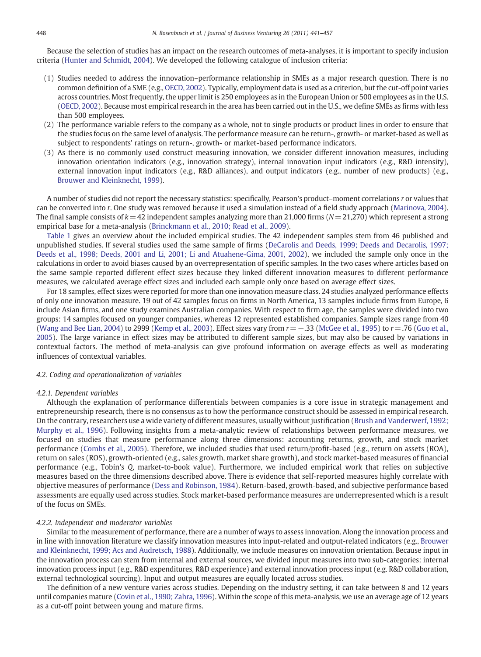Because the selection of studies has an impact on the research outcomes of meta-analyses, it is important to specify inclusion criteria [\(Hunter and Schmidt, 2004](#page-14-0)). We developed the following catalogue of inclusion criteria:

- (1) Studies needed to address the innovation–performance relationship in SMEs as a major research question. There is no common definition of a SME (e.g., [OECD, 2002\)](#page-15-0). Typically, employment data is used as a criterion, but the cut-off point varies across countries. Most frequently, the upper limit is 250 employees as in the European Union or 500 employees as in the U.S. ([OECD, 2002\)](#page-15-0). Because most empirical research in the area has been carried out in the U.S., we define SMEs as firms with less than 500 employees.
- (2) The performance variable refers to the company as a whole, not to single products or product lines in order to ensure that the studies focus on the same level of analysis. The performance measure can be return-, growth- or market-based as well as subject to respondents' ratings on return-, growth- or market-based performance indicators.
- (3) As there is no commonly used construct measuring innovation, we consider different innovation measures, including innovation orientation indicators (e.g., innovation strategy), internal innovation input indicators (e.g., R&D intensity), external innovation input indicators (e.g., R&D alliances), and output indicators (e.g., number of new products) (e.g., [Brouwer and Kleinknecht, 1999\)](#page-13-0).

A number of studies did not report the necessary statistics: specifically, Pearson's product–moment correlations r or values that can be converted into r. One study was removed because it used a simulation instead of a field study approach [\(Marinova, 2004](#page-15-0)). The final sample consists of  $k=42$  independent samples analyzing more than 21,000 firms ( $N=21,270$ ) which represent a strong empirical base for a meta-analysis ([Brinckmann et al., 2010; Read et al., 2009\)](#page-13-0).

[Table 1](#page-8-0) gives an overview about the included empirical studies. The 42 independent samples stem from 46 published and unpublished studies. If several studies used the same sample of firms ([DeCarolis and Deeds, 1999; Deeds and Decarolis, 1997;](#page-13-0) [Deeds et al., 1998; Deeds, 2001 and Li, 2001; Li and Atuahene-Gima, 2001, 2002](#page-13-0)), we included the sample only once in the calculations in order to avoid biases caused by an overrepresentation of specific samples. In the two cases where articles based on the same sample reported different effect sizes because they linked different innovation measures to different performance measures, we calculated average effect sizes and included each sample only once based on average effect sizes.

For 18 samples, effect sizes were reported for more than one innovation measure class. 24 studies analyzed performance effects of only one innovation measure. 19 out of 42 samples focus on firms in North America, 13 samples include firms from Europe, 6 include Asian firms, and one study examines Australian companies. With respect to firm age, the samples were divided into two groups: 14 samples focused on younger companies, whereas 12 represented established companies. Sample sizes range from 40 ([Wang and Bee Lian, 2004](#page-16-0)) to 2999 ([Kemp et al., 2003](#page-14-0)). Effect sizes vary from  $r = -0.33$  ([McGee et al., 1995](#page-15-0)) to  $r = 0.76$  ([Guo et al.,](#page-14-0) [2005](#page-14-0)). The large variance in effect sizes may be attributed to different sample sizes, but may also be caused by variations in contextual factors. The method of meta-analysis can give profound information on average effects as well as moderating influences of contextual variables.

#### 4.2. Coding and operationalization of variables

#### 4.2.1. Dependent variables

Although the explanation of performance differentials between companies is a core issue in strategic management and entrepreneurship research, there is no consensus as to how the performance construct should be assessed in empirical research. On the contrary, researchers use a wide variety of different measures, usually without justification ([Brush and Vanderwerf, 1992;](#page-13-0) [Murphy et al., 1996\)](#page-13-0). Following insights from a meta-analytic review of relationships between performance measures, we focused on studies that measure performance along three dimensions: accounting returns, growth, and stock market performance ([Combs et al., 2005\)](#page-13-0). Therefore, we included studies that used return/profit-based (e.g., return on assets (ROA), return on sales (ROS), growth-oriented (e.g., sales growth, market share growth), and stock market-based measures of financial performance (e.g., Tobin's Q, market-to-book value). Furthermore, we included empirical work that relies on subjective measures based on the three dimensions described above. There is evidence that self-reported measures highly correlate with objective measures of performance [\(Dess and Robinson, 1984](#page-14-0)). Return-based, growth-based, and subjective performance based assessments are equally used across studies. Stock market-based performance measures are underrepresented which is a result of the focus on SMEs.

#### 4.2.2. Independent and moderator variables

Similar to the measurement of performance, there are a number of ways to assess innovation. Along the innovation process and in line with innovation literature we classify innovation measures into input-related and output-related indicators (e.g., [Brouwer](#page-13-0) [and Kleinknecht, 1999; Acs and Audretsch, 1988\)](#page-13-0). Additionally, we include measures on innovation orientation. Because input in the innovation process can stem from internal and external sources, we divided input measures into two sub-categories: internal innovation process input (e.g., R&D expenditures, R&D experience) and external innovation process input (e.g. R&D collaboration, external technological sourcing). Input and output measures are equally located across studies.

The definition of a new venture varies across studies. Depending on the industry setting, it can take between 8 and 12 years until companies mature [\(Covin et al., 1990; Zahra, 1996\)](#page-13-0). Within the scope of this meta-analysis, we use an average age of 12 years as a cut-off point between young and mature firms.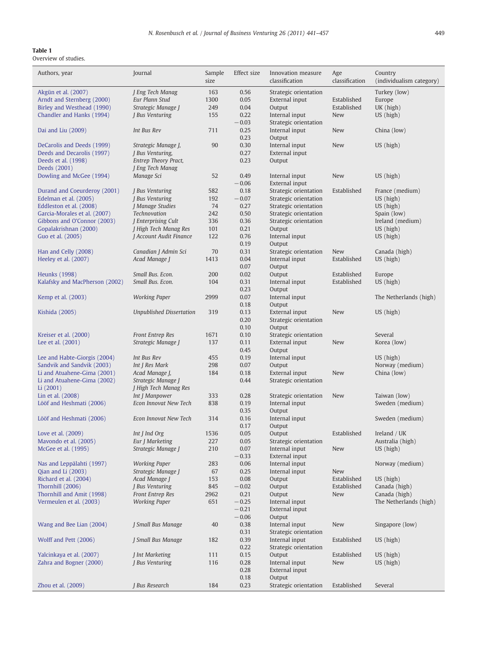# <span id="page-8-0"></span>Table 1

Overview of studies.

| Authors, year                                           | Journal                          | Sample<br>size | Effect size     | Innovation measure<br>classification    | Age<br>classification | Country<br>(individualism category) |
|---------------------------------------------------------|----------------------------------|----------------|-----------------|-----------------------------------------|-----------------------|-------------------------------------|
| Akgün et al. (2007)                                     | J Eng Tech Manag                 | 163            | 0.56            | Strategic orientation                   |                       | Turkey (low)                        |
| Arndt and Sternberg (2000)                              | Eur Plann Stud                   | 1300           | 0.05            | External input                          | Established           | Europe                              |
| Birley and Westhead (1990)                              | Strategic Manage J               | 249            | 0.04            | Output                                  | Established           | UK (high)                           |
| Chandler and Hanks (1994)                               | <b>J</b> Bus Venturing           | 155            | 0.22            | Internal input                          | New                   | US (high)                           |
|                                                         |                                  |                | $-0.03$         | Strategic orientation                   |                       |                                     |
| Dai and Liu (2009)                                      | Int Bus Rev                      | 711            | 0.25            | Internal input                          | <b>New</b>            | China (low)                         |
|                                                         |                                  |                | 0.23            | Output                                  |                       |                                     |
| DeCarolis and Deeds (1999)                              | Strategic Manage J,              | 90             | 0.30            | Internal input                          | New                   | US (high)                           |
| Deeds and Decarolis (1997)                              | J Bus Venturing,                 |                | 0.27            | External input                          |                       |                                     |
| Deeds et al. (1998)                                     | Entrep Theory Pract,             |                | 0.23            | Output                                  |                       |                                     |
| Deeds (2001)                                            | J Eng Tech Manag                 |                |                 |                                         |                       |                                     |
| Dowling and McGee (1994)                                | Manage Sci                       | 52             | 0.49            | Internal input                          | New                   | $US$ (high)                         |
|                                                         |                                  |                | $-0.06$         | External input                          |                       |                                     |
| Durand and Coeurderoy (2001)                            | J Bus Venturing                  | 582            | 0.18            | Strategic orientation                   | Established           | France (medium)                     |
| Edelman et al. (2005)                                   | J Bus Venturing                  | 192<br>74      | $-0.07$<br>0.27 | Strategic orientation                   |                       | US (high)                           |
| Eddleston et al. (2008)<br>Garcia-Morales et al. (2007) | J Manage Studies<br>Technovation | 242            | 0.50            | Strategic orientation                   |                       | US (high)                           |
|                                                         |                                  | 336            | 0.36            | Strategic orientation                   |                       | Spain (low)                         |
| Gibbons and O'Connor (2003)                             | J Enterprising Cult              |                | 0.21            | Strategic orientation                   |                       | Ireland (medium)                    |
| Gopalakrishnan (2000)                                   | J High Tech Manag Res            | 101<br>122     | 0.76            | Output                                  |                       | US (high)                           |
| Guo et al. (2005)                                       | J Account Audit Finance          |                |                 | Internal input                          |                       | US (high)                           |
|                                                         |                                  |                | 0.19            | Output                                  |                       |                                     |
| Han and Celly (2008)                                    | Canadian J Admin Sci             | 70             | 0.31            | Strategic orientation<br>Internal input | New<br>Established    | Canada (high)                       |
| Heeley et al. (2007)                                    | Acad Manage J                    | 1413           | 0.04            |                                         |                       | US (high)                           |
|                                                         |                                  |                | 0.07            | Output                                  |                       |                                     |
| <b>Heunks</b> (1998)                                    | Small Bus. Econ.                 | 200            | 0.02            | Output                                  | Established           | Europe                              |
| Kalafsky and MacPherson (2002)                          | Small Bus. Econ.                 | 104            | 0.31            | Internal input                          | Established           | US (high)                           |
|                                                         |                                  |                | 0.23            | Output                                  |                       |                                     |
| Kemp et al. (2003)                                      | <b>Working Paper</b>             | 2999           | 0.07            | Internal input                          |                       | The Netherlands (high)              |
|                                                         |                                  |                | 0.18            | Output                                  |                       |                                     |
| Kishida (2005)                                          | <b>Unpublished Dissertation</b>  | 319            | 0.13            | External input                          | New                   | US (high)                           |
|                                                         |                                  |                | 0.20            | Strategic orientation                   |                       |                                     |
|                                                         |                                  |                | 0.10            | Output                                  |                       |                                     |
| Kreiser et al. (2000)                                   | Front Entrep Res                 | 1671           | 0.10            | Strategic orientation                   |                       | Several                             |
| Lee et al. (2001)                                       | Strategic Manage J               | 137            | 0.11            | External input                          | New                   | Korea (low)                         |
|                                                         |                                  |                | 0.45            | Output                                  |                       |                                     |
| Lee and Habte-Giorgis (2004)                            | Int Bus Rev                      | 455            | 0.19            | Internal input                          |                       | US (high)                           |
| Sandvik and Sandvik (2003)                              | Int J Res Mark                   | 298            | 0.07            | Output                                  |                       | Norway (medium)                     |
| Li and Atuahene-Gima (2001)                             | Acad Manage J,                   | 184            | 0.18            | External input                          | New                   | China (low)                         |
| Li and Atuahene-Gima (2002)                             | Strategic Manage J               |                | 0.44            | Strategic orientation                   |                       |                                     |
| Li (2001)                                               | J High Tech Manag Res            |                |                 |                                         |                       |                                     |
| Lin et al. (2008)                                       | Int J Manpower                   | 333            | 0.28            | Strategic orientation                   | New                   | Taiwan (low)                        |
| Lööf and Heshmati (2006)                                | Econ Innovat New Tech            | 838            | 0.19            | Internal input                          |                       | Sweden (medium)                     |
|                                                         |                                  |                | 0.35            | Output                                  |                       |                                     |
| Lööf and Heshmati (2006)                                | Econ Innovat New Tech            | 314            | 0.16            | Internal input                          |                       | Sweden (medium)                     |
|                                                         |                                  |                | 0.17            | Output                                  |                       |                                     |
| Love et al. (2009)<br>Mavondo et al. (2005)             | Int J Ind Org                    | 1536           | 0.05            | Output                                  | Established           | Ireland $/$ UK                      |
|                                                         | Eur J Marketing                  | 227<br>210     | 0.05<br>0.07    | Strategic orientation                   | New                   | Australia (high)                    |
| McGee et al. (1995)                                     | Strategic Manage J               |                | $-0.33$         | Internal input                          |                       | US (high)                           |
| Nas and Leppälahti (1997)                               | <b>Working Paper</b>             |                |                 | External input                          |                       | Norway (medium)                     |
| Oian and Li (2003)                                      | Strategic Manage J               | 283<br>67      | 0.06<br>0.25    | Internal input<br>Internal input        | New                   |                                     |
| Richard et al. (2004)                                   | Acad Manage J                    | 153            | 0.08            | Output                                  | Established           | US (high)                           |
| Thornhill (2006)                                        | J Bus Venturing                  | 845            | $-0.02$         | Output                                  | Established           | Canada (high)                       |
| Thornhill and Amit (1998)                               | Front Entrep Res                 | 2962           | 0.21            | Output                                  | New                   | Canada (high)                       |
| Vermeulen et al. (2003)                                 | <b>Working Paper</b>             | 651            | $-0.25$         | Internal input                          |                       | The Netherlands (high)              |
|                                                         |                                  |                | $-0.21$         | External input                          |                       |                                     |
|                                                         |                                  |                | $-0.06$         | Output                                  |                       |                                     |
| Wang and Bee Lian (2004)                                | J Small Bus Manage               | 40             | 0.38            | Internal input                          | New                   | Singapore (low)                     |
|                                                         |                                  |                | 0.31            | Strategic orientation                   |                       |                                     |
| Wolff and Pett (2006)                                   | J Small Bus Manage               | 182            | 0.39            | Internal input                          | Established           | US (high)                           |
|                                                         |                                  |                | 0.22            | Strategic orientation                   |                       |                                     |
| Yalcinkaya et al. (2007)                                | <b>I</b> Int Marketing           | 111            | 0.15            | Output                                  | Established           | US (high)                           |
| Zahra and Bogner (2000)                                 | J Bus Venturing                  | 116            | 0.28            | Internal input                          | New                   | US (high)                           |
|                                                         |                                  |                | 0.28            | External input                          |                       |                                     |
|                                                         |                                  |                | 0.18            | Output                                  |                       |                                     |
| Zhou et al. (2009)                                      | J Bus Research                   | 184            | 0.23            | Strategic orientation                   | Established           | Several                             |
|                                                         |                                  |                |                 |                                         |                       |                                     |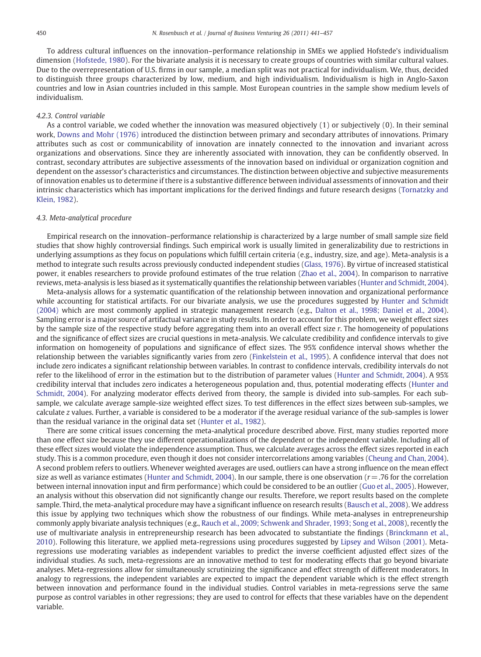To address cultural influences on the innovation–performance relationship in SMEs we applied Hofstede's individualism dimension ([Hofstede, 1980\)](#page-14-0). For the bivariate analysis it is necessary to create groups of countries with similar cultural values. Due to the overrepresentation of U.S. firms in our sample, a median split was not practical for individualism. We, thus, decided to distinguish three groups characterized by low, medium, and high individualism. Individualism is high in Anglo-Saxon countries and low in Asian countries included in this sample. Most European countries in the sample show medium levels of individualism.

## 4.2.3. Control variable

As a control variable, we coded whether the innovation was measured objectively (1) or subjectively (0). In their seminal work, [Downs and Mohr \(1976\)](#page-14-0) introduced the distinction between primary and secondary attributes of innovations. Primary attributes such as cost or communicability of innovation are innately connected to the innovation and invariant across organizations and observations. Since they are inherently associated with innovation, they can be confidently observed. In contrast, secondary attributes are subjective assessments of the innovation based on individual or organization cognition and dependent on the assessor's characteristics and circumstances. The distinction between objective and subjective measurements of innovation enables us to determine if there is a substantive difference between individual assessments of innovation and their intrinsic characteristics which has important implications for the derived findings and future research designs [\(Tornatzky and](#page-16-0) [Klein, 1982](#page-16-0)).

#### 4.3. Meta-analytical procedure

Empirical research on the innovation–performance relationship is characterized by a large number of small sample size field studies that show highly controversial findings. Such empirical work is usually limited in generalizability due to restrictions in underlying assumptions as they focus on populations which fulfill certain criteria (e.g., industry, size, and age). Meta-analysis is a method to integrate such results across previously conducted independent studies ([Glass, 1976](#page-14-0)). By virtue of increased statistical power, it enables researchers to provide profound estimates of the true relation ([Zhao et al., 2004\)](#page-16-0). In comparison to narrative reviews, meta-analysis is less biased as it systematically quantifies the relationship between variables [\(Hunter and Schmidt, 2004](#page-14-0)).

Meta-analysis allows for a systematic quantification of the relationship between innovation and organizational performance while accounting for statistical artifacts. For our bivariate analysis, we use the procedures suggested by [Hunter and Schmidt](#page-14-0) [\(2004\)](#page-14-0) which are most commonly applied in strategic management research (e.g., [Dalton et al., 1998; Daniel et al., 2004](#page-13-0)). Sampling error is a major source of artifactual variance in study results. In order to account for this problem, we weight effect sizes by the sample size of the respective study before aggregating them into an overall effect size r. The homogeneity of populations and the significance of effect sizes are crucial questions in meta-analysis. We calculate credibility and confidence intervals to give information on homogeneity of populations and significance of effect sizes. The 95% confidence interval shows whether the relationship between the variables significantly varies from zero ([Finkelstein et al., 1995\)](#page-14-0). A confidence interval that does not include zero indicates a significant relationship between variables. In contrast to confidence intervals, credibility intervals do not refer to the likelihood of error in the estimation but to the distribution of parameter values ([Hunter and Schmidt, 2004](#page-14-0)). A 95% credibility interval that includes zero indicates a heterogeneous population and, thus, potential moderating effects ([Hunter and](#page-14-0) [Schmidt, 2004](#page-14-0)). For analyzing moderator effects derived from theory, the sample is divided into sub-samples. For each subsample, we calculate average sample-size weighted effect sizes. To test differences in the effect sizes between sub-samples, we calculate z values. Further, a variable is considered to be a moderator if the average residual variance of the sub-samples is lower than the residual variance in the original data set [\(Hunter et al., 1982](#page-14-0)).

There are some critical issues concerning the meta-analytical procedure described above. First, many studies reported more than one effect size because they use different operationalizations of the dependent or the independent variable. Including all of these effect sizes would violate the independence assumption. Thus, we calculate averages across the effect sizes reported in each study. This is a common procedure, even though it does not consider intercorrelations among variables [\(Cheung and Chan, 2004](#page-13-0)). A second problem refers to outliers. Whenever weighted averages are used, outliers can have a strong influence on the mean effect size as well as variance estimates ([Hunter and Schmidt, 2004\)](#page-14-0). In our sample, there is one observation ( $r = .76$  for the correlation between internal innovation input and firm performance) which could be considered to be an outlier ([Guo et al., 2005\)](#page-14-0). However, an analysis without this observation did not significantly change our results. Therefore, we report results based on the complete sample. Third, the meta-analytical procedure may have a significant influence on research results ([Bausch et al., 2008\)](#page-13-0). We address this issue by applying two techniques which show the robustness of our findings. While meta-analyses in entrepreneurship commonly apply bivariate analysis techniques (e.g., [Rauch et al., 2009; Schwenk and Shrader, 1993; Song et al., 2008](#page-15-0)), recently the use of multivariate analysis in entrepreneurship research has been advocated to substantiate the findings [\(Brinckmann et al.,](#page-13-0) [2010](#page-13-0)). Following this literature, we applied meta-regressions using procedures suggested by [Lipsey and Wilson \(2001\)](#page-15-0). Metaregressions use moderating variables as independent variables to predict the inverse coefficient adjusted effect sizes of the individual studies. As such, meta-regressions are an innovative method to test for moderating effects that go beyond bivariate analyses. Meta-regressions allow for simultaneously scrutinizing the significance and effect strength of different moderators. In analogy to regressions, the independent variables are expected to impact the dependent variable which is the effect strength between innovation and performance found in the individual studies. Control variables in meta-regressions serve the same purpose as control variables in other regressions; they are used to control for effects that these variables have on the dependent variable.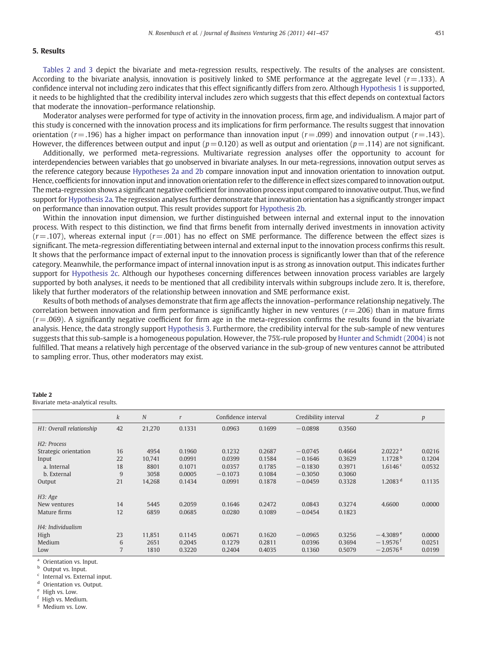## 5. Results

Tables 2 and 3 depict the bivariate and meta-regression results, respectively. The results of the analyses are consistent. According to the bivariate analysis, innovation is positively linked to SME performance at the aggregate level  $(r= .133)$ . A confidence interval not including zero indicates that this effect significantly differs from zero. Although Hypothesis 1 is supported, it needs to be highlighted that the credibility interval includes zero which suggests that this effect depends on contextual factors that moderate the innovation–performance relationship.

Moderator analyses were performed for type of activity in the innovation process, firm age, and individualism. A major part of this study is concerned with the innovation process and its implications for firm performance. The results suggest that innovation orientation ( $r=$  .196) has a higher impact on performance than innovation input ( $r=$  .099) and innovation output ( $r=$  .143). However, the differences between output and input ( $p= 0.120$ ) as well as output and orientation ( $p= 0.114$ ) are not significant.

Additionally, we performed meta-regressions. Multivariate regression analyses offer the opportunity to account for interdependencies between variables that go unobserved in bivariate analyses. In our meta-regressions, innovation output serves as the reference category because Hypotheses 2a and 2b compare innovation input and innovation orientation to innovation output. Hence, coefficients for innovation input and innovation orientation refer to the difference in effect sizes compared to innovation output. The meta-regression shows a significant negative coefficient for innovation process input compared to innovative output. Thus, we find support for Hypothesis 2a. The regression analyses further demonstrate that innovation orientation has a significantly stronger impact on performance than innovation output. This result provides support for Hypothesis 2b.

Within the innovation input dimension, we further distinguished between internal and external input to the innovation process. With respect to this distinction, we find that firms benefit from internally derived investments in innovation activity  $(r= .107)$ , whereas external input  $(r= .001)$  has no effect on SME performance. The difference between the effect sizes is significant. The meta-regression differentiating between internal and external input to the innovation process confirms this result. It shows that the performance impact of external input to the innovation process is significantly lower than that of the reference category. Meanwhile, the performance impact of internal innovation input is as strong as innovation output. This indicates further support for Hypothesis 2c. Although our hypotheses concerning differences between innovation process variables are largely supported by both analyses, it needs to be mentioned that all credibility intervals within subgroups include zero. It is, therefore, likely that further moderators of the relationship between innovation and SME performance exist.

Results of both methods of analyses demonstrate that firm age affects the innovation–performance relationship negatively. The correlation between innovation and firm performance is significantly higher in new ventures ( $r = .206$ ) than in mature firms  $(r= 069)$ . A significantly negative coefficient for firm age in the meta-regression confirms the results found in the bivariate analysis. Hence, the data strongly support Hypothesis 3. Furthermore, the credibility interval for the sub-sample of new ventures suggests that this sub-sample is a homogeneous population. However, the 75%-rule proposed by [Hunter and Schmidt \(2004\)](#page-14-0) is not fulfilled. That means a relatively high percentage of the observed variance in the sub-group of new ventures cannot be attributed to sampling error. Thus, other moderators may exist.

#### Table 2

Bivariate meta-analytical results.

|                          | k  | $\overline{N}$ | $\mathbf{r}$ | Confidence interval |        | Credibility interval |        | Z                       | p      |
|--------------------------|----|----------------|--------------|---------------------|--------|----------------------|--------|-------------------------|--------|
| H1: Overall relationship | 42 | 21,270         | 0.1331       | 0.0963              | 0.1699 | $-0.0898$            | 0.3560 |                         |        |
| H <sub>2</sub> : Process |    |                |              |                     |        |                      |        |                         |        |
| Strategic orientation    | 16 | 4954           | 0.1960       | 0.1232              | 0.2687 | $-0.0745$            | 0.4664 | 2.0222 <sup>a</sup>     | 0.0216 |
| Input                    | 22 | 10.741         | 0.0991       | 0.0399              | 0.1584 | $-0.1646$            | 0.3629 | 1.1728 <sup>b</sup>     | 0.1204 |
| a. Internal              | 18 | 8801           | 0.1071       | 0.0357              | 0.1785 | $-0.1830$            | 0.3971 | 1.6146c                 | 0.0532 |
| b. External              | 9  | 3058           | 0.0005       | $-0.1073$           | 0.1084 | $-0.3050$            | 0.3060 |                         |        |
| Output                   | 21 | 14,268         | 0.1434       | 0.0991              | 0.1878 | $-0.0459$            | 0.3328 | $1.2083$ <sup>d</sup>   | 0.1135 |
| H3: Age                  |    |                |              |                     |        |                      |        |                         |        |
| New ventures             | 14 | 5445           | 0.2059       | 0.1646              | 0.2472 | 0.0843               | 0.3274 | 4.6600                  | 0.0000 |
| Mature firms             | 12 | 6859           | 0.0685       | 0.0280              | 0.1089 | $-0.0454$            | 0.1823 |                         |        |
| H4: Individualism        |    |                |              |                     |        |                      |        |                         |        |
| High                     | 23 | 11,851         | 0.1145       | 0.0671              | 0.1620 | $-0.0965$            | 0.3256 | $-4.3089e$ <sup>e</sup> | 0.0000 |
| Medium                   | 6  | 2651           | 0.2045       | 0.1279              | 0.2811 | 0.0396               | 0.3694 | $-1.9576$ <sup>t</sup>  | 0.0251 |
| Low                      | 7  | 1810           | 0.3220       | 0.2404              | 0.4035 | 0.1360               | 0.5079 | $-2.0576$ <sup>g</sup>  | 0.0199 |

a Orientation vs. Input.

**b** Output vs. Input.

<sup>c</sup> Internal vs. External input.

Orientation vs. Output.

High vs. Low.

High vs. Medium.

<sup>g</sup> Medium vs. Low.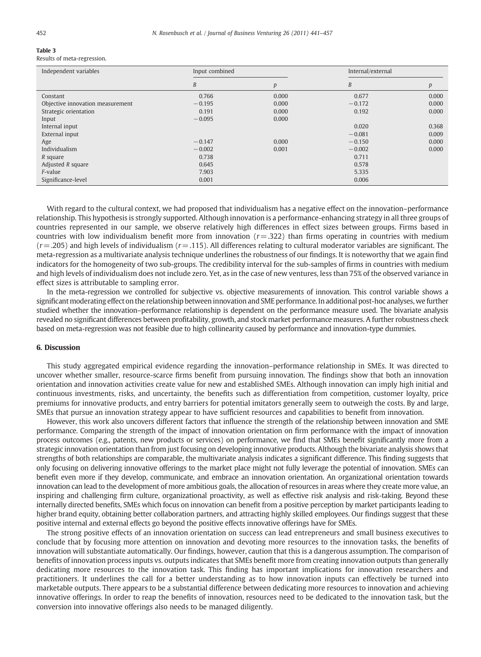#### Table 3 Results of meta-regression.

| Independent variables            | Input combined |       | Internal/external |       |  |
|----------------------------------|----------------|-------|-------------------|-------|--|
|                                  | B              | p     | B                 | p     |  |
| Constant                         | 0.766          | 0.000 | 0.677             | 0.000 |  |
| Objective innovation measurement | $-0.195$       | 0.000 | $-0.172$          | 0.000 |  |
| Strategic orientation            | 0.191          | 0.000 | 0.192             | 0.000 |  |
| Input                            | $-0.095$       | 0.000 |                   |       |  |
| Internal input                   |                |       | 0.020             | 0.368 |  |
| External input                   |                |       | $-0.081$          | 0.009 |  |
| Age                              | $-0.147$       | 0.000 | $-0.150$          | 0.000 |  |
| Individualism                    | $-0.002$       | 0.001 | $-0.002$          | 0.000 |  |
| $R$ square                       | 0.738          |       | 0.711             |       |  |
| Adjusted $R$ square              | 0.645          |       | 0.578             |       |  |
| F-value                          | 7.903          |       | 5.335             |       |  |
| Significance-level               | 0.001          |       | 0.006             |       |  |

With regard to the cultural context, we had proposed that individualism has a negative effect on the innovation–performance relationship. This hypothesis is strongly supported. Although innovation is a performance-enhancing strategy in all three groups of countries represented in our sample, we observe relatively high differences in effect sizes between groups. Firms based in countries with low individualism benefit more from innovation  $(r=.322)$  than firms operating in countries with medium  $(r=.205)$  and high levels of individualism  $(r=.115)$ . All differences relating to cultural moderator variables are significant. The meta-regression as a multivariate analysis technique underlines the robustness of our findings. It is noteworthy that we again find indicators for the homogeneity of two sub-groups. The credibility interval for the sub-samples of firms in countries with medium and high levels of individualism does not include zero. Yet, as in the case of new ventures, less than 75% of the observed variance in effect sizes is attributable to sampling error.

In the meta-regression we controlled for subjective vs. objective measurements of innovation. This control variable shows a significant moderating effect on the relationship between innovation and SME performance. In additional post-hoc analyses, we further studied whether the innovation–performance relationship is dependent on the performance measure used. The bivariate analysis revealed no significant differences between profitability, growth, and stock market performance measures. A further robustness check based on meta-regression was not feasible due to high collinearity caused by performance and innovation-type dummies.

### 6. Discussion

This study aggregated empirical evidence regarding the innovation–performance relationship in SMEs. It was directed to uncover whether smaller, resource-scarce firms benefit from pursuing innovation. The findings show that both an innovation orientation and innovation activities create value for new and established SMEs. Although innovation can imply high initial and continuous investments, risks, and uncertainty, the benefits such as differentiation from competition, customer loyalty, price premiums for innovative products, and entry barriers for potential imitators generally seem to outweigh the costs. By and large, SMEs that pursue an innovation strategy appear to have sufficient resources and capabilities to benefit from innovation.

However, this work also uncovers different factors that influence the strength of the relationship between innovation and SME performance. Comparing the strength of the impact of innovation orientation on firm performance with the impact of innovation process outcomes (e.g., patents, new products or services) on performance, we find that SMEs benefit significantly more from a strategic innovation orientation than from just focusing on developing innovative products. Although the bivariate analysis shows that strengths of both relationships are comparable, the multivariate analysis indicates a significant difference. This finding suggests that only focusing on delivering innovative offerings to the market place might not fully leverage the potential of innovation. SMEs can benefit even more if they develop, communicate, and embrace an innovation orientation. An organizational orientation towards innovation can lead to the development of more ambitious goals, the allocation of resources in areas where they create more value, an inspiring and challenging firm culture, organizational proactivity, as well as effective risk analysis and risk-taking. Beyond these internally directed benefits, SMEs which focus on innovation can benefit from a positive perception by market participants leading to higher brand equity, obtaining better collaboration partners, and attracting highly skilled employees. Our findings suggest that these positive internal and external effects go beyond the positive effects innovative offerings have for SMEs.

The strong positive effects of an innovation orientation on success can lead entrepreneurs and small business executives to conclude that by focusing more attention on innovation and devoting more resources to the innovation tasks, the benefits of innovation will substantiate automatically. Our findings, however, caution that this is a dangerous assumption. The comparison of benefits of innovation process inputs vs. outputs indicates that SMEs benefit more from creating innovation outputs than generally dedicating more resources to the innovation task. This finding has important implications for innovation researchers and practitioners. It underlines the call for a better understanding as to how innovation inputs can effectively be turned into marketable outputs. There appears to be a substantial difference between dedicating more resources to innovation and achieving innovative offerings. In order to reap the benefits of innovation, resources need to be dedicated to the innovation task, but the conversion into innovative offerings also needs to be managed diligently.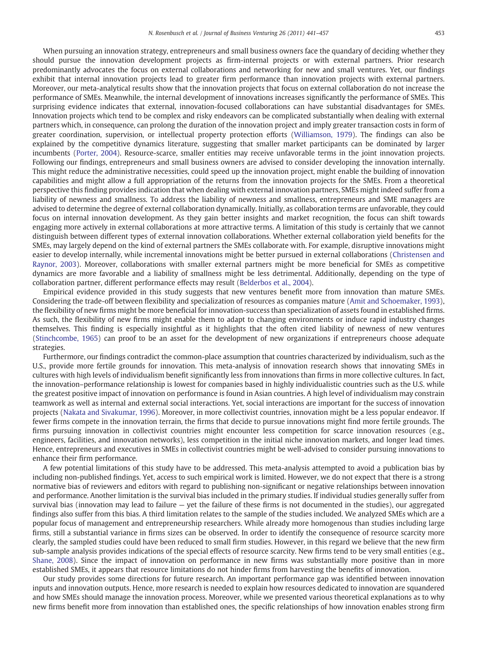When pursuing an innovation strategy, entrepreneurs and small business owners face the quandary of deciding whether they should pursue the innovation development projects as firm-internal projects or with external partners. Prior research predominantly advocates the focus on external collaborations and networking for new and small ventures. Yet, our findings exhibit that internal innovation projects lead to greater firm performance than innovation projects with external partners. Moreover, our meta-analytical results show that the innovation projects that focus on external collaboration do not increase the performance of SMEs. Meanwhile, the internal development of innovations increases significantly the performance of SMEs. This surprising evidence indicates that external, innovation-focused collaborations can have substantial disadvantages for SMEs. Innovation projects which tend to be complex and risky endeavors can be complicated substantially when dealing with external partners which, in consequence, can prolong the duration of the innovation project and imply greater transaction costs in form of greater coordination, supervision, or intellectual property protection efforts ([Williamson, 1979\)](#page-16-0). The findings can also be explained by the competitive dynamics literature, suggesting that smaller market participants can be dominated by larger incumbents [\(Porter, 2004](#page-15-0)). Resource-scarce, smaller entities may receive unfavorable terms in the joint innovation projects. Following our findings, entrepreneurs and small business owners are advised to consider developing the innovation internally. This might reduce the administrative necessities, could speed up the innovation project, might enable the building of innovation capabilities and might allow a full appropriation of the returns from the innovation projects for the SMEs. From a theoretical perspective this finding provides indication that when dealing with external innovation partners, SMEs might indeed suffer from a liability of newness and smallness. To address the liability of newness and smallness, entrepreneurs and SME managers are advised to determine the degree of external collaboration dynamically. Initially, as collaboration terms are unfavorable, they could focus on internal innovation development. As they gain better insights and market recognition, the focus can shift towards engaging more actively in external collaborations at more attractive terms. A limitation of this study is certainly that we cannot distinguish between different types of external innovation collaborations. Whether external collaboration yield benefits for the SMEs, may largely depend on the kind of external partners the SMEs collaborate with. For example, disruptive innovations might easier to develop internally, while incremental innovations might be better pursued in external collaborations [\(Christensen and](#page-13-0) [Raynor, 2003\)](#page-13-0). Moreover, collaborations with smaller external partners might be more beneficial for SMEs as competitive dynamics are more favorable and a liability of smallness might be less detrimental. Additionally, depending on the type of collaboration partner, different performance effects may result [\(Belderbos et al., 2004\)](#page-13-0).

Empirical evidence provided in this study suggests that new ventures benefit more from innovation than mature SMEs. Considering the trade-off between flexibility and specialization of resources as companies mature ([Amit and Schoemaker, 1993\)](#page-13-0), the flexibility of new firms might be more beneficial for innovation-success than specialization of assets found in established firms. As such, the flexibility of new firms might enable them to adapt to changing environments or induce rapid industry changes themselves. This finding is especially insightful as it highlights that the often cited liability of newness of new ventures [\(Stinchcombe, 1965\)](#page-16-0) can proof to be an asset for the development of new organizations if entrepreneurs choose adequate strategies.

Furthermore, our findings contradict the common-place assumption that countries characterized by individualism, such as the U.S., provide more fertile grounds for innovation. This meta-analysis of innovation research shows that innovating SMEs in cultures with high levels of individualism benefit significantly less from innovations than firms in more collective cultures. In fact, the innovation–performance relationship is lowest for companies based in highly individualistic countries such as the U.S. while the greatest positive impact of innovation on performance is found in Asian countries. A high level of individualism may constrain teamwork as well as internal and external social interactions. Yet, social interactions are important for the success of innovation projects ([Nakata and Sivakumar, 1996\)](#page-15-0). Moreover, in more collectivist countries, innovation might be a less popular endeavor. If fewer firms compete in the innovation terrain, the firms that decide to pursue innovations might find more fertile grounds. The firms pursuing innovation in collectivist countries might encounter less competition for scarce innovation resources (e.g., engineers, facilities, and innovation networks), less competition in the initial niche innovation markets, and longer lead times. Hence, entrepreneurs and executives in SMEs in collectivist countries might be well-advised to consider pursuing innovations to enhance their firm performance.

A few potential limitations of this study have to be addressed. This meta-analysis attempted to avoid a publication bias by including non-published findings. Yet, access to such empirical work is limited. However, we do not expect that there is a strong normative bias of reviewers and editors with regard to publishing non-significant or negative relationships between innovation and performance. Another limitation is the survival bias included in the primary studies. If individual studies generally suffer from survival bias (innovation may lead to failure — yet the failure of these firms is not documented in the studies), our aggregated findings also suffer from this bias. A third limitation relates to the sample of the studies included. We analyzed SMEs which are a popular focus of management and entrepreneurship researchers. While already more homogenous than studies including large firms, still a substantial variance in firms sizes can be observed. In order to identify the consequence of resource scarcity more clearly, the sampled studies could have been reduced to small firm studies. However, in this regard we believe that the new firm sub-sample analysis provides indications of the special effects of resource scarcity. New firms tend to be very small entities (e.g., [Shane, 2008\)](#page-16-0). Since the impact of innovation on performance in new firms was substantially more positive than in more established SMEs, it appears that resource limitations do not hinder firms from harvesting the benefits of innovation.

Our study provides some directions for future research. An important performance gap was identified between innovation inputs and innovation outputs. Hence, more research is needed to explain how resources dedicated to innovation are squandered and how SMEs should manage the innovation process. Moreover, while we presented various theoretical explanations as to why new firms benefit more from innovation than established ones, the specific relationships of how innovation enables strong firm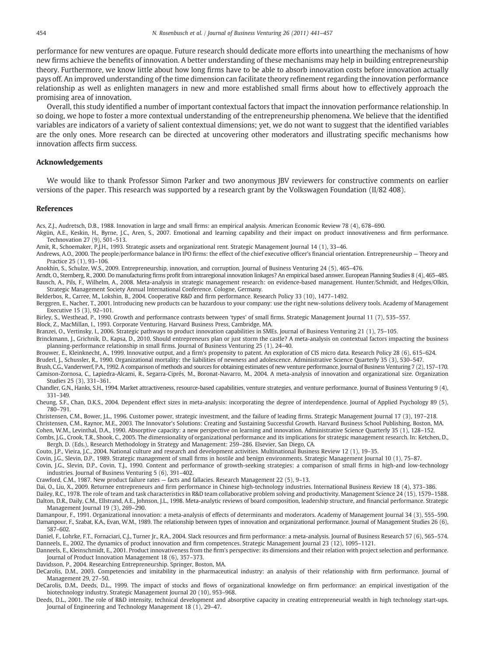<span id="page-13-0"></span>performance for new ventures are opaque. Future research should dedicate more efforts into unearthing the mechanisms of how new firms achieve the benefits of innovation. A better understanding of these mechanisms may help in building entrepreneurship theory. Furthermore, we know little about how long firms have to be able to absorb innovation costs before innovation actually pays off. An improved understanding of the time dimension can facilitate theory refinement regarding the innovation performance relationship as well as enlighten managers in new and more established small firms about how to effectively approach the promising area of innovation.

Overall, this study identified a number of important contextual factors that impact the innovation performance relationship. In so doing, we hope to foster a more contextual understanding of the entrepreneurship phenomena. We believe that the identified variables are indicators of a variety of salient contextual dimensions; yet, we do not want to suggest that the identified variables are the only ones. More research can be directed at uncovering other moderators and illustrating specific mechanisms how innovation affects firm success.

#### Acknowledgements

We would like to thank Professor Simon Parker and two anonymous JBV reviewers for constructive comments on earlier versions of the paper. This research was supported by a research grant by the Volkswagen Foundation (II/82 408).

#### References

Acs, Z.J., Audretsch, D.B., 1988. Innovation in large and small firms: an empirical analysis. American Economic Review 78 (4), 678–690.

Akgün, A.E., Keskin, H., Byrne, J.C., Aren, S., 2007. Emotional and learning capability and their impact on product innovativeness and firm performance. Technovation 27 (9), 501–513.

Amit, R., Schoemaker, P.J.H., 1993. Strategic assets and organizational rent. Strategic Management Journal 14 (1), 33–46.

Andrews, A.O., 2000. The people/performance balance in IPO firms: the effect of the chief executive officer's financial orientation. Entrepreneurship — Theory and Practice 25 (1), 93–106.

Anokhin, S., Schulze, W.S., 2009. Entrepreneurship, innovation, and corruption. Journal of Business Venturing 24 (5), 465–476.

Arndt, O., Sternberg, R., 2000. Do manufacturing firms profit from intraregional innovation linkages? An empirical based answer. European Planning Studies 8 (4), 465–485. Bausch, A., Pils, F., Wilhelm, A., 2008. Meta-analysis in strategic management research: on evidence-based management. Hunter/Schmidt, and Hedges/Olkin, Strategic Management Society Annual International Conference. Cologne, Germany.

Belderbos, R., Carree, M., Lokshin, B., 2004. Cooperative R&D and firm performance. Research Policy 33 (10), 1477–1492.

Berggren, E., Nacher, T., 2001. Introducing new products can be hazardous to your company: use the right new-solutions delivery tools. Academy of Management Executive 15 (3), 92–101.

Birley, S., Westhead, P., 1990. Growth and performance contrasts between 'types' of small firms. Strategic Management Journal 11 (7), 535–557.

Block, Z., MacMillan, I., 1993. Corporate Venturing. Harvard Business Press, Cambridge, MA.

Branzei, O., Vertinsky, I., 2006. Strategic pathways to product innovation capabilities in SMEs. Journal of Business Venturing 21 (1), 75–105.

Brinckmann, J., Grichnik, D., Kapsa, D., 2010. Should entrepreneurs plan or just storm the castle? A meta-analysis on contextual factors impacting the business planning-performance relationship in small firms. Journal of Business Venturing 25 (1), 24–40.

Brouwer, E., Kleinknecht, A., 1999. Innovative output, and a firm's propensity to patent. An exploration of CIS micro data. Research Policy 28 (6), 615–624.

Bruderl, J., Schussler, R., 1990. Organizational mortality: the liabilities of newness and adolescence. Administrative Science Quarterly 35 (3), 530–547.

Brush, C.G., Vanderwerf, P.A., 1992. A comparison of methods and sources for obtaining estimates of new venture performance. Journal of Business Venturing 7 (2), 157–170. Camison-Zornosa, C., Lapiedra-Alcami, R., Segarra-Ciprés, M., Boronat-Navarro, M., 2004. A meta-analysis of innovation and organizational size. Organization Studies 25 (3), 331–361.

Chandler, G.N., Hanks, S.H., 1994. Market attractiveness, resource-based capabilities, venture strategies, and venture performance. Journal of Business Venturing 9 (4), 331–349.

Cheung, S.F., Chan, D.K.S., 2004. Dependent effect sizes in meta-analysis: incorporating the degree of interdependence. Journal of Applied Psychology 89 (5), 780–791.

Christensen, C.M., Bower, J.L., 1996. Customer power, strategic investment, and the failure of leading firms. Strategic Management Journal 17 (3), 197–218.

Christensen, C.M., Raynor, M.E., 2003. The Innovator's Solutions: Creating and Sustaining Successful Growth. Harvard Business School Publishing, Boston, MA.

Cohen, W.M., Levinthal, D.A., 1990. Absorptive capacity: a new perspective on learning and innovation. Administrative Science Quarterly 35 (1), 128–152. Combs, J.G., Crook, T.R., Shook, C., 2005. The dimensionality of organizational performance and its implications for strategic management research. In: Ketchen, D., Bergh, D. (Eds.), Research Methodology in Strategy and Management: 259–286. Elsevier, San Diego, CA.

Couto, J.P., Vieira, J.C., 2004. National culture and research and development activities. Multinational Business Review 12 (1), 19–35.

Covin, J.G., Slevin, D.P., 1989. Strategic management of small firms in hostile and benign environments. Strategic Management Journal 10 (1), 75–87. Covin, J.G., Slevin, D.P., Covin, T.J., 1990. Content and performance of growth-seeking strategies: a comparison of small firms in high-and low-technology

industries. Journal of Business Venturing 5 (6), 391–402. Crawford, C.M., 1987. New product failure rates — facts and fallacies. Research Management 22 (5), 9–13.

Dai, O., Liu, X., 2009. Returnee entrepreneurs and firm performance in Chinese high-technology industries. International Business Review 18 (4), 373–386.

Dailey, R.C., 1978. The role of team and task characteristics in R&D team collaborative problem solving and productivity. Management Science 24 (15), 1579–1588.

Dalton, D.R., Daily, C.M., Ellstrand, A.E., Johnson, J.L., 1998. Meta-analytic reviews of board composition, leadership structure, and financial performance. Strategic Management Journal 19 (3), 269–290.

Damanpour, F., 1991. Organizational innovation: a meta-analysis of effects of determinants and moderators. Academy of Management Journal 34 (3), 555–590. Damanpour, F., Szabat, K.A., Evan, W.M., 1989. The relationship between types of innovation and organizational performance. Journal of Management Studies 26 (6), 587–602.

Daniel, F., Lohrke, F.T., Fornaciari, C.J., Turner Jr., R.A., 2004. Slack resources and firm performance: a meta-analysis. Journal of Business Research 57 (6), 565–574. Danneels, E., 2002. The dynamics of product innovation and firm competences. Strategic Management Journal 23 (12), 1095–1121.

Danneels, E., Kleinschmidt, E., 2001. Product innovativeness from the firm's perspective: its dimensions and their relation with project selection and performance. Journal of Product Innovation Management 18 (6), 357–373.

Davidsson, P., 2004. Researching Entrepreneurship. Springer, Boston, MA.

DeCarolis, D.M., 2003. Competencies and imitability in the pharmaceutical industry: an analysis of their relationship with firm performance. Journal of Management 29, 27–50.

DeCarolis, D.M., Deeds, D.L., 1999. The impact of stocks and flows of organizational knowledge on firm performance: an empirical investigation of the biotechnology industry. Strategic Management Journal 20 (10), 953–968.

Deeds, D.L., 2001. The role of R&D intensity, technical development and absorptive capacity in creating entrepreneurial wealth in high technology start-ups. Journal of Engineering and Technology Management 18 (1), 29–47.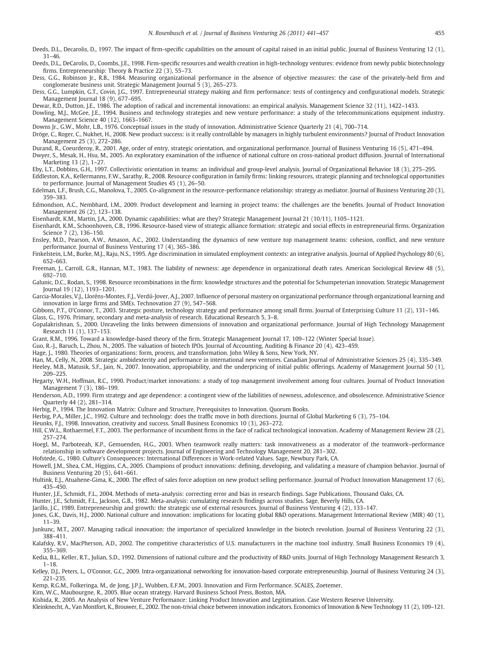- <span id="page-14-0"></span>Deeds, D.L., Decarolis, D., 1997. The impact of firm-specific capabilities on the amount of capital raised in an initial public. Journal of Business Venturing 12 (1), 31–46.
- Deeds, D.L., DeCarolis, D., Coombs, J.E., 1998. Firm-specific resources and wealth creation in high-technology ventures: evidence from newly public biotechnology firms. Entrepreneurship: Theory & Practice 22 (3), 55–73.
- Dess, G.G., Robinson Jr., R.B., 1984. Measuring organizational performance in the absence of objective measures: the case of the privately-held firm and conglomerate business unit. Strategic Management Journal 5 (3), 265–273.
- Dess, G.G., Lumpkin, G.T., Covin, J.G., 1997. Entrepreneurial strategy making and firm performance: tests of contingency and configurational models. Strategic Management Journal 18 (9), 677–695.
- Dewar, R.D., Dutton, J.E., 1986. The adoption of radical and incremental innovations: an empirical analysis. Management Science 32 (11), 1422–1433.
- Dowling, M.J., McGee, J.E., 1994. Business and technology strategies and new venture performance: a study of the telecommunications equipment industry. Management Science 40 (12), 1663–1667.
- Downs Jr., G.W., Mohr, L.B., 1976. Conceptual issues in the study of innovation. Administrative Science Quarterly 21 (4), 700–714.
- Dröge, C., Roger, C., Nukhet, H., 2008. New product success: is it really controllable by managers in highly turbulent environments? Journal of Product Innovation Management 25 (3), 272–286.
- Durand, R., Coeurderoy, R., 2001. Age, order of entry, strategic orientation, and organizational performance. Journal of Business Venturing 16 (5), 471–494. Dwyer, S., Mesak, H., Hsu, M., 2005. An exploratory examination of the influence of national culture on cross-national product diffusion. Journal of International
- Marketing 13 (2), 1–27. Eby, L.T., Dobbins, G.H., 1997. Collectivistic orientation in teams: an individual and group-level analysis. Journal of Organizational Behavior 18 (3), 275–295.
- Eddleston, K.A., Kellermanns, F.W., Sarathy, R., 2008. Resource configuration in family firms: linking resources, strategic planning and technological opportunities to performance. Journal of Management Studies 45 (1), 26–50.
- Edelman, L.F., Brush, C.G., Manolova, T., 2005. Co-alignment in the resource-performance relationship: strategy as mediator. Journal of Business Venturing 20 (3), 359–383.
- Edmondson, A.C., Nembhard, I.M., 2009. Product development and learning in project teams: the challenges are the benefits. Journal of Product Innovation Management 26 (2), 123–138.
- Eisenhardt, K.M., Martin, J.A., 2000. Dynamic capabilities: what are they? Strategic Management Journal 21 (10/11), 1105–1121.
- Eisenhardt, K.M., Schoonhoven, C.B., 1996. Resource-based view of strategic alliance formation: strategic and social effects in entrepreneurial firms. Organization Science 7 (2), 136–150.
- Ensley, M.D., Pearson, A.W., Amason, A.C., 2002. Understanding the dynamics of new venture top management teams: cohesion, conflict, and new venture performance. Journal of Business Venturing 17 (4), 365–386.
- Finkelstein, L.M., Burke, M.J., Raju, N.S., 1995. Age discrimination in simulated employment contexts: an integrative analysis. Journal of Applied Psychology 80 (6), 652–663.
- Freeman, J., Carroll, G.R., Hannan, M.T., 1983. The liability of newness: age dependence in organizational death rates. American Sociological Review 48 (5), 692–710.
- Galunic, D.C., Rodan, S., 1998. Resource recombinations in the firm: knowledge structures and the potential for Schumpeterian innovation. Strategic Management Journal 19 (12), 1193–1201.
- Garcia-Morales, V.J., Lloréns-Montes, F.J., Verdú-Jover, A.J., 2007. Influence of personal mastery on organizational performance through organizational learning and innovation in large firms and SMEs. Technovation 27 (9), 547–568.
- Gibbons, P.T., O'Connor, T., 2003. Strategic posture, technology strategy and performance among small firms. Journal of Enterprising Culture 11 (2), 131–146. Glass, G., 1976. Primary, secondary and meta-analysis of research. Educational Research 5, 3–8.
- Gopalakrishnan, S., 2000. Unraveling the links between dimensions of innovation and organizational performance. Journal of High Technology Management Research 11 (1), 137–153.
- Grant, R.M., 1996. Toward a knowledge-based theory of the firm. Strategic Management Journal 17, 109–122 (Winter Special Issue).
- Guo, R.-J., Baruch, L., Zhou, N., 2005. The valuation of biotech IPOs. Journal of Accounting, Auditing & Finance 20 (4), 423–459.
- Hage, J., 1980. Theories of organizations: form, process, and transformation. John Wiley & Sons, New York, NY.
- Han, M., Celly, N., 2008. Strategic ambidexterity and performance in international new ventures. Canadian Journal of Administrative Sciences 25 (4), 335–349. Heeley, M.B., Matusik, S.F., Jain, N., 2007. Innovation, appropiability, and the underpricing of initial public offerings. Academy of Management Journal 50 (1), 209–225.
- Hegarty, W.H., Hoffman, R.C., 1990. Product/market innovations: a study of top management involvement among four cultures. Journal of Product Innovation Management 7 (3), 186–199.
- Henderson, A.D., 1999. Firm strategy and age dependence: a contingent view of the liabilities of newness, adolescence, and obsolescence. Administrative Science Quarterly 44 (2), 281–314.
- Herbig, P., 1994. The Innovation Matrix: Culture and Structure, Prerequisites to Innovation. Quorum Books.
- Herbig, P.A., Miller, J.C., 1992. Culture and technology: does the traffic move in both directions. Journal of Global Marketing 6 (3), 75–104.
- Heunks, F.J., 1998. Innovation, creativity and success. Small Business Economics 10 (3), 263–272.
- Hill, C.W.L., Rothaermel, F.T., 2003. The performance of incumbent firms in the face of radical technological innovation. Academy of Management Review 28 (2), 257–274.
- Hoegl, M., Parboteeah, K.P., Gemuenden, H.G., 2003. When teamwork really matters: task innovativeness as a moderator of the teamwork–performance relationship in software development projects. Journal of Engineering and Technology Management 20, 281–302.
- Hofstede, G., 1980. Culture's Consequences: International Differences in Work-related Values. Sage, Newbury Park, CA.
- Howell, J.M., Shea, C.M., Higgins, C.A., 2005. Champions of product innovations: defining, developing, and validating a measure of champion behavior. Journal of Business Venturing 20 (5), 641–661.
- Hultink, E.J., Atuahene-Gima, K., 2000. The effect of sales force adoption on new product selling performance. Journal of Product Innovation Management 17 (6), 435–450.
- Hunter, J.E., Schmidt, F.L., 2004. Methods of meta-analysis: correcting error and bias in research findings. Sage Publications, Thousand Oaks, CA.
- Hunter, J.E., Schmidt, F.L., Jackson, G.B., 1982. Meta-analysis: cumulating research findings across studies. Sage, Beverly Hills, CA.
- Jarillo, J.C., 1989. Entrepreneurship and growth: the strategic use of external resources. Journal of Business Venturing 4 (2), 133–147.
- Jones, G.K., Davis, H.J., 2000. National culture and innovation: implications for locating global R&D operations. Management International Review (MIR) 40 (1), 11–39.
- Junkunc, M.T., 2007. Managing radical innovation: the importance of specialized knowledge in the biotech revolution. Journal of Business Venturing 22 (3), 388–411.
- Kalafsky, R.V., MacPherson, A.D., 2002. The competitive characteristics of U.S. manufacturers in the machine tool industry. Small Business Economics 19 (4), 355–369.
- Kedia, B.L., Keller, R.T., Julian, S.D., 1992. Dimensions of national culture and the productivity of R&D units. Journal of High Technology Management Research 3, 1–18.
- Kelley, D.J., Peters, L., O'Connor, G.C., 2009. Intra-organizational networking for innovation-based corporate entrepreneurship. Journal of Business Venturing 24 (3), 221–235.
- Kemp, R.G.M., Folkeringa, M., de Jong, J.P.J., Wubben, E.F.M., 2003. Innovation and Firm Performance. SCALES, Zoetemer.

Kim, W.C., Maubourgne, R., 2005. Blue ocean strategy. Harvard Business School Press, Boston, MA.

Kishida, R., 2005. An Analysis of New Venture Performance: Linking Product Innovation and Legitimation. Case Western Reserve University.

Kleinknecht, A., Van Montfort, K., Brouwer, E., 2002. The non-trivial choice between innovation indicators. Economics of Innovation & New Technology 11 (2), 109–121.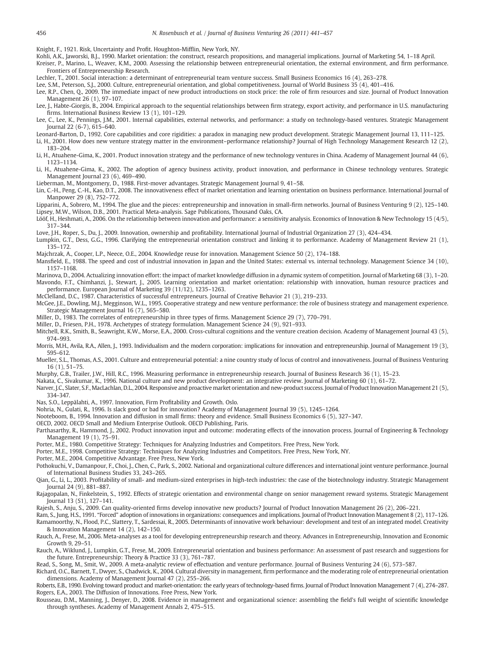<span id="page-15-0"></span>Knight, F., 1921. Risk, Uncertainty and Profit. Houghton-Mifflin, New York, NY.

- Kohli, A.K., Jaworski, B.J., 1990. Market orientation: the construct, research propositions, and managerial implications. Journal of Marketing 54, 1–18 April.
- Kreiser, P., Marino, L., Weaver, K.M., 2000. Assessing the relationship between entrepreneurial orientation, the external environment, and firm performance. Frontiers of Entrepreneurship Research.

Lechler, T., 2001. Social interaction: a determinant of entrepreneurial team venture success. Small Business Economics 16 (4), 263–278.

Lee, S.M., Peterson, S.J., 2000. Culture, entrepreneurial orientation, and global competitiveness. Journal of World Business 35 (4), 401–416.

- Lee, R.P., Chen, Q., 2009. The immediate impact of new product introductions on stock price: the role of firm resources and size. Journal of Product Innovation Management 26 (1), 97–107.
- Lee, J., Habte-Giorgis, B., 2004. Empirical approach to the sequential relationships between firm strategy, export activity, and performance in U.S. manufacturing firms. International Business Review 13 (1), 101–129.
- Lee, C., Lee, K., Pennings, J.M., 2001. Internal capabilities, external networks, and performance: a study on technology-based ventures. Strategic Management Journal 22 (6-7), 615–640.
- Leonard-Barton, D., 1992. Core capabilities and core rigidities: a paradox in managing new product development. Strategic Management Journal 13, 111–125.
- Li, H., 2001. How does new venture strategy matter in the environment–performance relationship? Journal of High Technology Management Research 12 (2), 183–204.
- Li, H., Atuahene-Gima, K., 2001. Product innovation strategy and the performance of new technology ventures in China. Academy of Management Journal 44 (6), 1123–1134.
- Li, H., Atuahene-Gima, K., 2002. The adoption of agency business activity, product innovation, and performance in Chinese technology ventures. Strategic Management Journal 23 (6), 469–490.
- Lieberman, M., Montgomery, D., 1988. First-mover advantages. Strategic Management Journal 9, 41–58.
- Lin, C.-H., Peng, C.-H., Kao, D.T., 2008. The innovativeness effect of market orientation and learning orientation on business performance. International Journal of Manpower 29 (8), 752–772.
- Lipparini, A., Sobrero, M., 1994. The glue and the pieces: entrepreneurship and innovation in small-firm networks. Journal of Business Venturing 9 (2), 125–140. Lipsey, M.W., Wilson, D.B., 2001. Practical Meta-analysis. Sage Publications, Thousand Oaks, CA.
- Lööf, H., Heshmati, A., 2006. On the relationship between innovation and performance: a sensitivity analysis. Economics of Innovation & New Technology 15 (4/5), 317–344.
- Love, J.H., Roper, S., Du, J., 2009. Innovation, ownership and profitability. International Journal of Industrial Organization 27 (3), 424–434.
- Lumpkin, G.T., Dess, G.G., 1996. Clarifying the entrepreneurial orientation construct and linking it to performance. Academy of Management Review 21 (1), 135–172.
- Majchrzak, A., Cooper, L.P., Neece, O.E., 2004. Knowledge reuse for innovation. Management Science 50 (2), 174–188.
- Mansfield, E., 1988. The speed and cost of industrial innovation in Japan and the United States: external vs. internal technology. Management Science 34 (10), 1157–1168.
- Marinova, D., 2004. Actualizing innovation effort: the impact of market knowledge diffusion in a dynamic system of competition. Journal of Marketing 68 (3), 1–20. Mavondo, F.T., Chimhanzi, J., Stewart, J., 2005. Learning orientation and market orientation: relationship with innovation, human resource practices and performance. European Journal of Marketing 39 (11/12), 1235–1263.
- McClelland, D.C., 1987. Characteristics of successful entrepreneurs. Journal of Creative Behavior 21 (3), 219–233.
- McGee, J.E., Dowling, M.J., Megginson, W.L., 1995. Cooperative strategy and new venture performance: the role of business strategy and management experience. Strategic Management Journal 16 (7), 565–580.
- Miller, D., 1983. The correlates of entrepreneurship in three types of firms. Management Science 29 (7), 770–791.
- Miller, D., Friesen, P.H., 1978. Archetypes of strategy formulation. Management Science 24 (9), 921–933.
- Mitchell, R.K., Smith, B., Seawright, K.W., Morse, E.A., 2000. Cross-cultural cognitions and the venture creation decision. Academy of Management Journal 43 (5), 974–993.
- Morris, M.H., Avila, R.A., Allen, J., 1993. Individualism and the modern corporation: implications for innovation and entrepreneurship. Journal of Management 19 (3), 595–612.
- Mueller, S.L., Thomas, A.S., 2001. Culture and entrepreneurial potential: a nine country study of locus of control and innovativeness. Journal of Business Venturing 16 (1), 51–75.
- Murphy, G.B., Trailer, J.W., Hill, R.C., 1996. Measuring performance in entrepreneurship research. Journal of Business Research 36 (1), 15–23.
- Nakata, C., Sivakumar, K., 1996. National culture and new product development: an integrative review. Journal of Marketing 60 (1), 61–72.
- Narver, J.C., Slater, S.F., MacLachlan, D.L., 2004. Responsive and proactive market orientation and new-product success. Journal of Product Innovation Management 21 (5), 334–347.
- Nas, S.O., Leppälahti, A., 1997. Innovation, Firm Profitability and Growth. Oslo.
- Nohria, N., Gulati, R., 1996. Is slack good or bad for innovation? Academy of Management Journal 39 (5), 1245–1264.
- Nooteboom, B., 1994. Innovation and diffusion in small firms: theory and evidence. Small Business Economics 6 (5), 327–347.
- OECD, 2002. OECD Small and Medium Enterprise Outlook. OECD Publishing, Paris.
- Parthasarthy, R., Hammond, J., 2002. Product innovation input and outcome: moderating effects of the innovation process. Journal of Engineering & Technology Management 19 (1), 75–91.
- Porter, M.E., 1980. Competitive Strategy: Techniques for Analyzing Industries and Competitors. Free Press, New York.
- Porter, M.E., 1998. Competitive Strategy: Techniques for Analyzing Industries and Competitors. Free Press, New York, NY.
- Porter, M.E., 2004. Competitive Advantage. Free Press, New York.
- Pothokuchi, V., Damanpour, F., Choi, J., Chen, C., Park, S., 2002. National and organizational culture differences and international joint venture performance. Journal of International Business Studies 33, 243–265.
- Qian, G., Li, L., 2003. Profitability of small- and medium-sized enterprises in high-tech industries: the case of the biotechnology industry. Strategic Management Journal 24 (9), 881–887.
- Rajagopalan, N., Finkelstein, S., 1992. Effects of strategic orientation and environmental change on senior management reward systems. Strategic Management Journal 13 (S1), 127–141.
- Rajesh, S., Anju, S., 2009. Can quality-oriented firms develop innovative new products? Journal of Product Innovation Management 26 (2), 206–221.
- Ram, S., Jung, H.S., 1991. "Forced" adoption of innovations in organizations: consequences and implications. Journal of Product Innovation Management 8 (2), 117–126. Ramamoorthy, N., Flood, P.C., Slattery, T., Sardessai, R., 2005. Determinants of innovative work behaviour: development and test of an integrated model. Creativity & Innovation Management 14 (2), 142–150.
- Rauch, A., Frese, M., 2006. Meta-analyses as a tool for developing entrepreneurship research and theory. Advances in Entrepreneurship, Innovation and Economic Growth 9, 29–51.
- Rauch, A., Wiklund, J., Lumpkin, G.T., Frese, M., 2009. Entrepreneurial orientation and business performance: An assessment of past research and suggestions for the future. Entrepreneurship: Theory & Practice 33 (3), 761–787.

Read, S., Song, M., Smit, W., 2009. A meta-analytic review of effectuation and venture performance. Journal of Business Venturing 24 (6), 573–587.

- Richard, O.C., Barnett, T., Dwyer, S., Chadwick, K., 2004. Cultural diversity in management, firm performance and the moderating role of entrepreneurial orientation dimensions. Academy of Management Journal 47 (2), 255–266.
- Roberts, E.B., 1990. Evolving toward product and market-orientation: the early years of technology-based firms. Journal of Product Innovation Management 7 (4), 274–287. Rogers, E.A., 2003. The Diffusion of Innovations. Free Press, New York.
- Rousseau, D.M., Manning, J., Denyer, D., 2008. Evidence in management and organizational science: assembling the field's full weight of scientific knowledge through syntheses. Academy of Management Annals 2, 475–515.